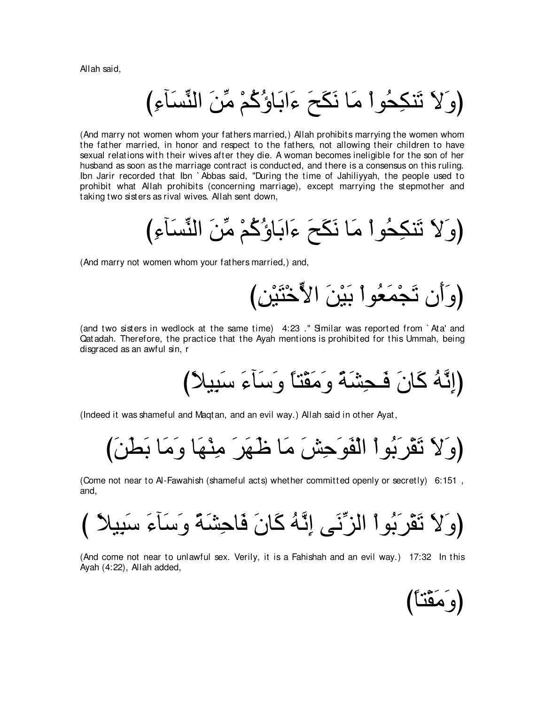Allah said,

び⌒¬べ∠ジあレャや ∠リあョ ∇ユ⊥ミ⊥ぼゅ∠よや∠¬ ∠ウ∠ム∠ル ゅ∠ョ ∇やヲ⊥エ⌒ムレ∠ゎ ∠Ι∠ヱぴ

(And marry not women whom your fathers married,) Allah prohibits marrying the women whom the father married, in honor and respect to the fathers, not allowing their children to have sexual relations with their wives after they die. A woman becomes ineligible for the son of her husband as soon as the marriage contract is conducted, and there is a consensus on this ruling. Ibn Jarir recorded that Ibn ` Abbas said, "During the time of Jahiliyyah, the people used to prohibit what Allah prohibits (concerning marriage), except marrying the stepmother and taking two sisters as rival wives. Allah sent down,

び⌒¬べ∠ジあレャや ∠リあョ ∇ユ⊥ミ⊥ぼゅ∠よや∠¬ ∠ウ∠ム∠ル ゅ∠ョ ∇やヲ⊥エ⌒ムレ∠ゎ ∠Ι∠ヱぴ

(And marry not women whom your fathers married,) and,

び⌒リ∇Β∠わ∇カyΙや ∠リ∇Β∠よ ∇やヲ⊥バ∠ヨ∇イ∠ゎ ラ∠ぺ∠ヱぴ

(and two sisters in wedlock at the same time) 4:23 ." Similar was reported from `Ata' and Qatadah. Therefore, the practice that the Ayah mentions is prohibited for this Ummah, being disgraced as an awful sin, r

び⇔ΚΒ⌒ら∠シ ∠¬べ∠シ∠ヱ ⇔ゅわ∇ボ∠ョ∠ヱ ⇔る∠ゼ⌒エ⇒∠プ ∠ラゅ∠ミ ⊥ヮzル⌒まぴ

(Indeed it was shameful and Maqtan, and an evil way.) Allah said in other Ayat,

び∠リ∠ト∠よ ゅ∠ョ∠ヱ ゅ∠ヰ∇レ⌒ョ ∠ゲ∠ヰ∠ニ ゅ∠ョ ∠ズ⌒ェ∠ヲ∠ヘ∇ャや ∇やヲ⊥よ∠ゲ∇ボ∠ゎ ∠Ι∠ヱぴ

(Come not near to Al-Fawahish (shameful acts) whether committed openly or secretly) 6:151 , and,

び ⇔ΚΒ⌒ら∠シ ∠¬べ∠シ∠ヱ ⇔る∠ゼ⌒ェゅ∠プ ∠ラゅ∠ミ ⊥ヮzル⌒ま ヴ∠ルあゴャや ∇やヲ⊥よ∠ゲ∇ボ∠ゎ ∠Ι∠ヱぴ

(And come not near to unlawful sex. Verily, it is a Fahishah and an evil way.) 17:32 In this Ayah (4:22), Allah added,

(وَمَقْنَا)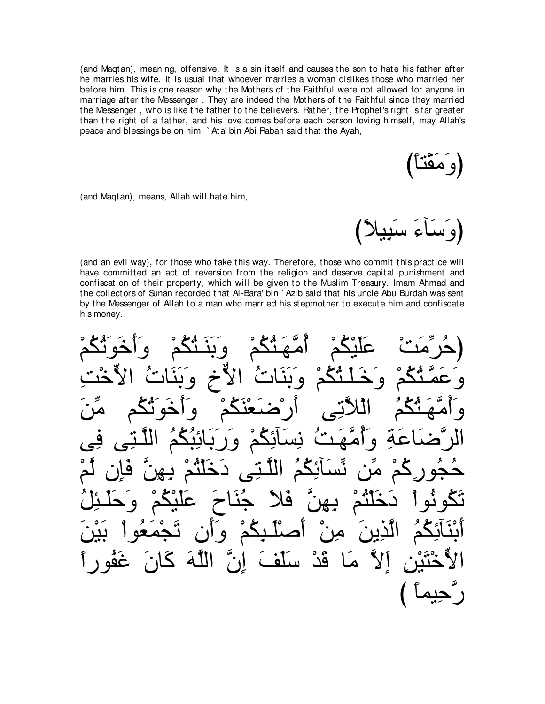(and Magtan), meaning, offensive. It is a sin itself and causes the son to hate his father after he marries his wife. It is usual that whoever marries a woman dislikes those who married her before him. This is one reason why the Mothers of the Faithful were not allowed for anyone in marriage after the Messenger. They are indeed the Mothers of the Faithful since they married the Messenger, who is like the father to the believers. Pather, the Prophet's right is far greater than the right of a father, and his love comes before each person loving himself, may Allah's peace and blessings be on him. `Ata' bin Abi Rabah said that the Ayah,

و معدّ

(and Magtan), means, Allah will hate him,

او ساع سا

(and an evil way), for those who take this way. Therefore, those who commit this practice will have committed an act of reversion from the religion and deserve capital punishment and confiscation of their property, which will be given to the Muslim Treasury. Imam Ahmad and the collectors of Sunan recorded that Al-Bara' bin `Azib said that his uncle Abu Burdah was sent by the Messenger of Allah to a man who married his stepmother to execute him and confiscate his money.

 $\bullet$  $\bullet$ <u>گد</u> اللّهَ كَان اد بق سلف  $\blacktriangle$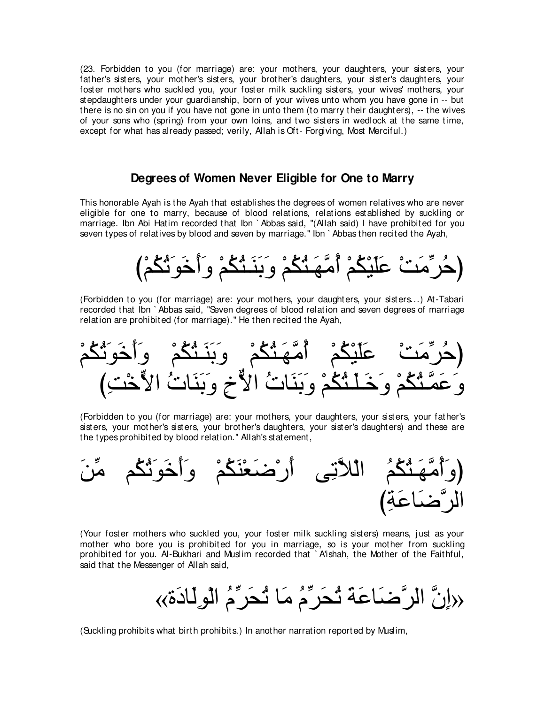(23. Forbidden to you (for marriage) are: your mothers, your daughters, your sisters, your father's sisters, your mother's sisters, your brother's daughters, your sister's daughters, your foster mothers who suckled you, your foster milk suckling sisters, your wives' mothers, your stepdaughters under your guardianship, born of your wives unto whom you have gone in -- but there is no sin on you if you have not gone in unto them (to marry their daughters), -- the wives of your sons who (spring) from your own loins, and two sisters in wedlock at the same time, except for what has already passed; verily, Allah is Oft- Forgiving, Most Merciful.)

## **Degrees of Women Never Eligible for One to Marry**

This honorable Ayah is the Ayah that establishes the degrees of women relatives who are never eligible for one to marry, because of blood relations, relations established by suckling or marriage. Ibn Abi Hatim recorded that Ibn ` Abbas said, "(Allah said) I have prohibited for you seven types of relatives by blood and seven by marriage." Ibn `Abbas then recited the Ayah,



(Forbidden to you (for marriage) are: your mothers, your daughters, your sisters...) At-Tabari recorded that Ibn ` Abbas said, "Seven degrees of blood relation and seven degrees of marriage relation are prohibited (for marriage).'' He then recited the Ayah,

∇ユ⊥ム⊥ゎ∠ヲ∠カ∠ぺ∠ヱ ∇ユ⊥ム⊥わ⇒∠レ∠よ∠ヱ ∇ユ⊥ム⊥わ⇒∠ヰzョ⊥ぺ ∇ユ⊥ム∇Β∠ヤ∠ハ ∇ろ∠ョあゲ⊥ェぴ び⌒ろ∇カyΙや ⊥れゅ∠レ∠よ∠ヱ ⌒ォxΙや ⊥れゅ∠レ∠よ∠ヱ ∇ユ⊥ム⊥わ⇒∠ヤ⇒∠カ∠ヱ ∇ユ⊥ム⊥わ⇒zヨ∠ハ∠ヱ

(Forbidden to you (for marriage) are: your mothers, your daughters, your sisters, your father's sisters, your mother's sisters, your brother's daughters, your sister's daughters) and these are the types prohibited by blood relation.'' Allah's statement,



(Your foster mothers who suckled you, your foster milk suckling sisters) means, just as your mother who bore you is prohibited for you in marriage, so is your mother from suckling prohibited for you. Al-Bukhari and Muslim recorded that `A'ishah, the Mother of the Faithful, said that the Messenger of Allah said,

«إِنَّ الرَّصْدَاعَة ثُحَرِّهُ مَا ثُحَرِّهُ الْوِلَـادَة»

(Suckling prohibits what birth prohibits.) In another narration reported by Muslim,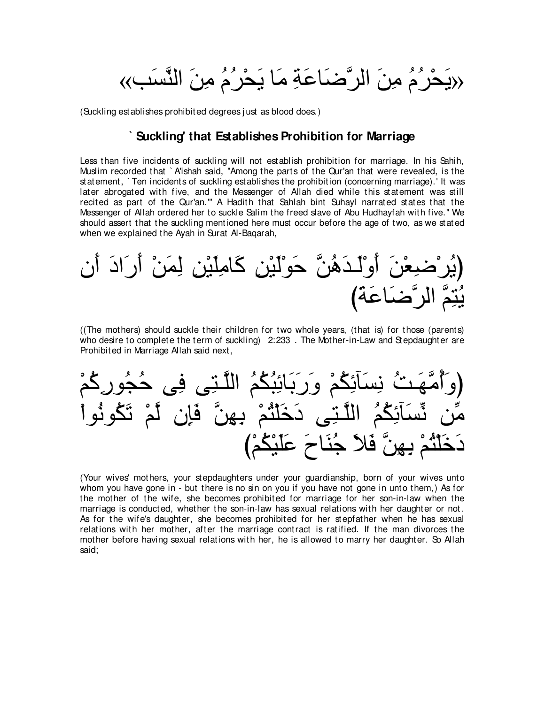«يَحْرُمُ مِنَ الرَّصَنَاعَةِ مَا يَحْرُمُ مِنَ النَّسَبِ»

(Suckling establishes prohibited degrees just as blood does.)

#### Suckling' that Establishes Prohibition for Marriage

Less than five incidents of suckling will not establish prohibition for marriage. In his Sahih, Muslim recorded that `A'ishah said, "Among the parts of the Qur'an that were revealed, is the statement, `Ten incidents of suckling establishes the prohibition (concerning marriage).'It was later abrogated with five, and the Messenger of Allah died while this statement was still recited as part of the Qur'an."" A Hadith that Sahlah bint Suhayl narrated states that the Messenger of Allah ordered her to suckle Salim the freed slave of Abu Hudhayfah with five." We should assert that the suckling mentioned here must occur before the age of two, as we stated when we explained the Ayah in Surat Al-Bagarah,

(The mothers) should suckle their children for two whole years, (that is) for those (parents) who desire to complete the term of suckling) 2:233. The Mother-in-Law and Stepdaughter are Prohibited in Marriage Allah said next,

(Your wives' mothers, your stepdaughters under your guardianship, born of your wives unto whom you have gone in - but there is no sin on you if you have not gone in unto them.) As for the mother of the wife, she becomes prohibited for marriage for her son-in-law when the marriage is conducted, whether the son-in-law has sexual relations with her daughter or not. As for the wife's daughter, she becomes prohibited for her stepfather when he has sexual relations with her mother, after the marriage contract is ratified. If the man divorces the mother before having sexual relations with her, he is allowed to marry her daughter. So Allah said: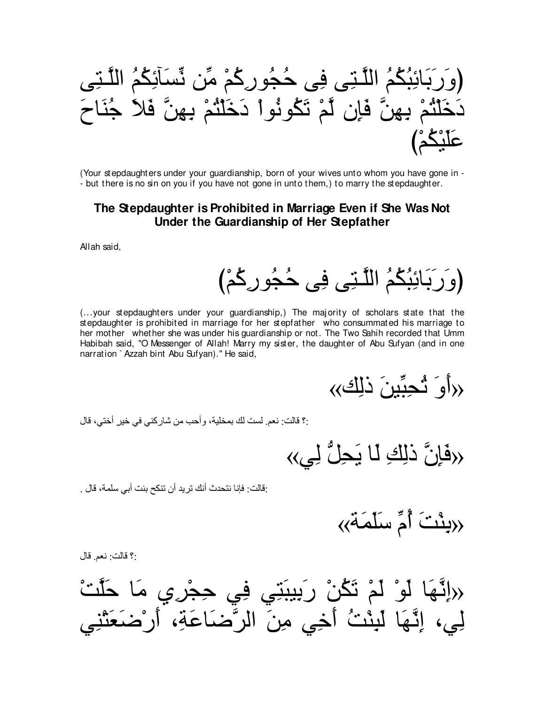

(Your stepdaughters under your quardianship, born of your wives unto whom you have gone in -- but there is no sin on you if you have not gone in unto them, to marry the stepdaughter.

## The Stepdaughter is Prohibited in Marriage Even if She Was Not Under the Guardianship of Her Stepfather

Allah said,

(وَرَبَائِبُكُمُ اللَّتِي فِي حُجُورِكُمْ)

(...your stepdaughters under your guardianship,) The majority of scholars state that the stepdaughter is prohibited in marriage for her stepfather who consummated his marriage to her mother whether she was under his guardianship or not. The Two Sahih recorded that Umm Habibah said, "O Messenger of Allah! Marry my sister, the daughter of Abu Sufyan (and in one narration `Azzah bint Abu Sufvan)." He said,

«(أَوَ شُجِبِّينَ ذَلِك»)

:؟ قالت: نعم ِ لست لك بمخلية، وأحب من شاركني في خير أختى، قال

«هَاِنَّ ذَلِكَ لَمَا يَجِلُّ لِي»

:قالت: فإنا نتحدث أنك تريد أن تنكح بنت أبي سلمة، قال .

«بِنْتَ أُمِّ سَلَّمَة<sub>ٌ</sub>»

:؟ قالت: نعم قال

﴿ إِنَّهَا لَوْ لَمْ تَكُنْ رَبِيبَنِّي فِي حِجْرِي مَا حَلْتْ لِي، إِنَّهَا لَبِنْتُ أَخِي مِنَ الرَّضَاعَةِ، أَرْضَغَتْنِهِ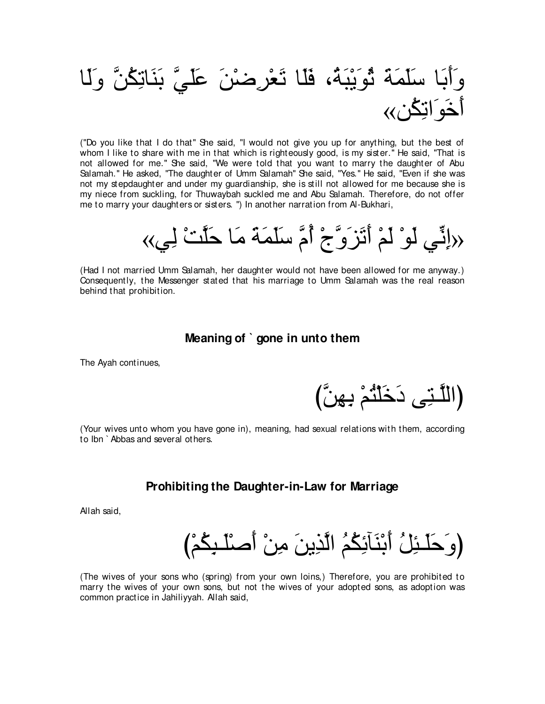# وَأَبَا سَلَمَةَ ثُوَيْبَةٌ، فَلَا تَعْرِضْنَ عَلَيَّ بَنَاتِكُنَّ وَلَا أخَوَ انكُن∢∢

("Do you like that I do that'' She said, "I would not give you up for anything, but the best of whom I like to share with me in that which is righteously good, is my sister." He said, "That is not allowed for me.'' She said, "We were told that you want to marry the daughter of Abu Salamah.'' He asked, "The daughter of Umm Salamah'' She said, "Yes.'' He said, "Even if she was not my stepdaughter and under my guardianship, she is still not allowed for me because she is my niece from suckling, for Thuwaybah suckled me and Abu Salamah. Therefore, do not offer me to marry your daughters or sisters. '') In another narration from Al-Bukhari,

«﴿إِنَّـِي لَوْ لَمْ أَتَزَوَّجْ أُمَّ سَلَمَةَ مَا حَلَّتْ لِي∢

(Had I not married Umm Salamah, her daughter would not have been allowed for me anyway.) Consequently, the Messenger stated that his marriage to Umm Salamah was the real reason behind that prohibition.

### **Meaning of ` gone in unto them**

The Ayah continues,

(اللَّـتِي دَخَلْثُمْ بِـهِنَّ)

(Your wives unto whom you have gone in), meaning, had sexual relations with them, according to Ibn ` Abbas and several others.

#### **Prohibiting the Daughter-in-Law for Marriage**

Allah said,

(وَ حَلَـئِلُ أَبْنَآئِكُمُ الَّذِينَ مِنْ أَصنْلـبِكُمْ)

(The wives of your sons who (spring) from your own loins,) Therefore, you are prohibited to marry the wives of your own sons, but not the wives of your adopted sons, as adoption was common practice in Jahiliyyah. Allah said,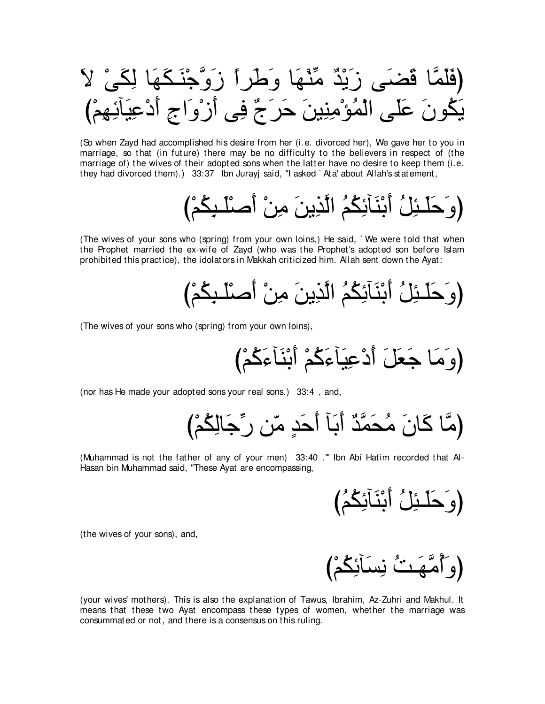(So when Zayd had accomplished his desire from her (i.e. divorced her), We gave her to you in marriage, so that (in future) there may be no difficulty to the believers in respect of (the marriage of) the wives of their adopted sons when the latter have no desire to keep them (i.e. they had divorced them).) 33:37 lbn Jurayj said, "I asked ` Ata' about Allah's statement,

(The wives of your sons who (spring) from your own loins,) He said, `We were told that when the Prophet married the ex-wife of Zayd (who was the Prophet's adopted son before Islam prohibited this practice), the idolators in Makkah criticized him. Allah sent down the Ayat:

(The wives of your sons who (spring) from your own loins),

(nor has He made your adopted sons your real sons.) 33:4, and,

(Muhammad is not the father of any of your men) 33:40 ."" Ibn Abi Hatim recorded that Al-Hasan bin Muhammad said, "These Ayat are encompassing,

(the wives of your sons), and,

(وَأَمَّهَنْ نِسَأَنِكُمْ)

(your wives' mothers). This is also the explanation of Tawus, Ibrahim, Az-Zuhri and Makhul. It means that these two Ayat encompass these types of women, whether the marriage was consummated or not, and there is a consensus on this ruling.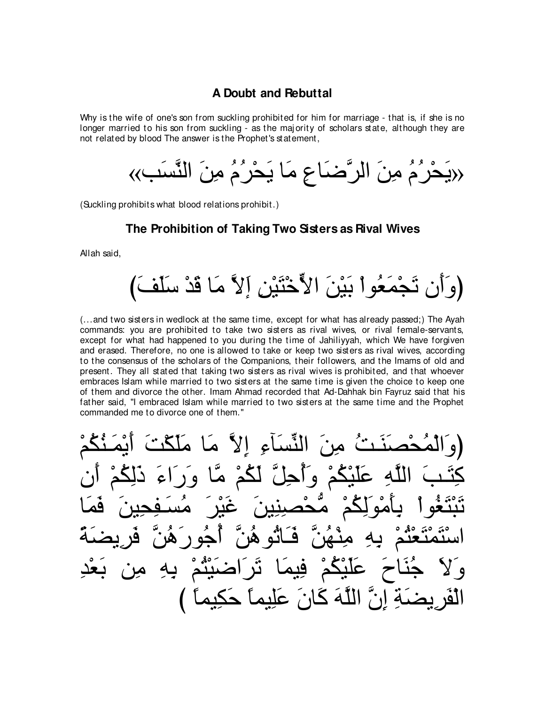## A Doubt and Rebuttal

Why is the wife of one's son from suckling prohibited for him for marriage - that is, if she is no longer married to his son from suckling - as the majority of scholars state, although they are not related by blood The answer is the Prophet's statement.

(Suckling prohibits what blood relations prohibit.)

#### The Prohibition of Taking Two Sisters as Rival Wives

Allah said,

(...and two sisters in wedlock at the same time, except for what has already passed;) The Ayah commands: you are prohibited to take two sisters as rival wives, or rival female-servants, except for what had happened to you during the time of Jahiliyyah, which We have forgiven and erased. Therefore, no one is allowed to take or keep two sisters as rival wives, according to the consensus of the scholars of the Companions, their followers, and the Imams of old and present. They all stated that taking two sisters as rival wives is prohibited, and that whoever embraces Islam while married to two sisters at the same time is given the choice to keep one of them and divorce the other. Imam Ahmad recorded that Ad-Dahhak bin Fayruz said that his father said, "I embraced Islam while married to two sisters at the same time and the Prophet commanded me to divorce one of them."

النِّسَاءِ إِلاَّ مَا نِّهِ إِنَّ اللَّهَ كَانَ عَلِيماً حَكِيهِ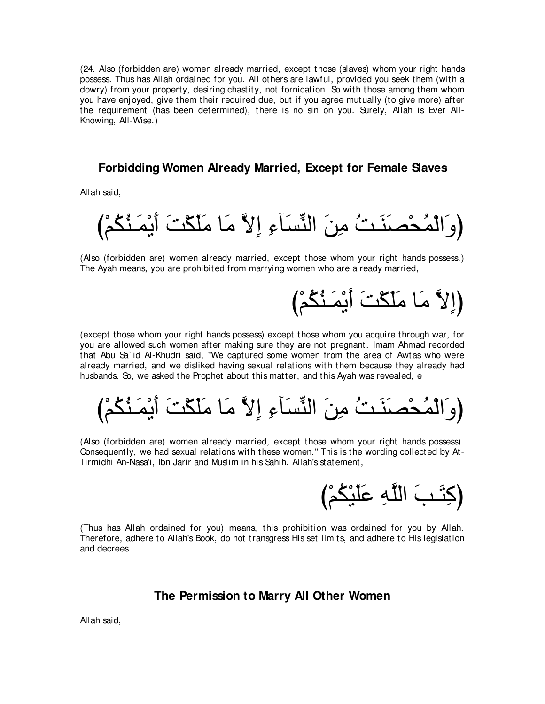(24. Also (forbidden are) women already married, except those (slaves) whom your right hands possess. Thus has Allah ordained for you. All others are lawful, provided you seek them (with a dowry) from your property, desiring chastity, not fornication. So with those among them whom you have enjoyed, give them their required due, but if you agree mutually (to give more) after the requirement (has been determined), there is no sin on you. Surely, Allah is Ever All-Knowing, All-Wise.)

# **Forbidding Women Already Married, Except for Female Slaves**

Allah said,

び∇ユ⊥ム⊥レ⇒∠ヨ∇Α∠ぺ ∠ろ∇ム∠ヤ∠ョ ゅ∠ョ zΙ⌒ま ⌒¬べ∠ジあレャや ∠リ⌒ョ ⊥ろ⇒∠レ∠ダ∇エ⊥ヨ∇ャや∠ヱぴ

(Also (forbidden are) women already married, except those whom your right hands possess.) The Ayah means, you are prohibited from marrying women who are already married,

(إِلاَّ مَا مَلَكَتَ أَيْمَنُكُمْ)

(except those whom your right hands possess) except those whom you acquire through war, for you are allowed such women after making sure they are not pregnant. Imam Ahmad recorded that Abu Sa` id Al-Khudri said, "We captured some women from the area of Awtas who were already married, and we disliked having sexual relations with them because they already had husbands. So, we asked the Prophet about this matter, and this Ayah was revealed, e

び∇ユ⊥ム⊥レ⇒∠ヨ∇Α∠ぺ ∠ろ∇ム∠ヤ∠ョ ゅ∠ョ zΙ⌒ま ⌒¬べ∠ジあレャや ∠リ⌒ョ ⊥ろ⇒∠レ∠ダ∇エ⊥ヨ∇ャや∠ヱぴ

(Also (forbidden are) women already married, except those whom your right hands possess). Consequently, we had sexual relations with these women.'' This is the wording collected by At-Tirmidhi An-Nasa'i, Ibn Jarir and Muslim in his Sahih. Allah's statement,

び∇ユ⊥ム∇Β∠ヤ∠ハ ⌒ヮzヤャや ∠ょ⇒∠わ⌒ミぴ

(Thus has Allah ordained for you) means, this prohibition was ordained for you by Allah. Therefore, adhere to Allah's Book, do not transgress His set limits, and adhere to His legislation and decrees.

## **The Permission to Marry All Other Women**

Allah said,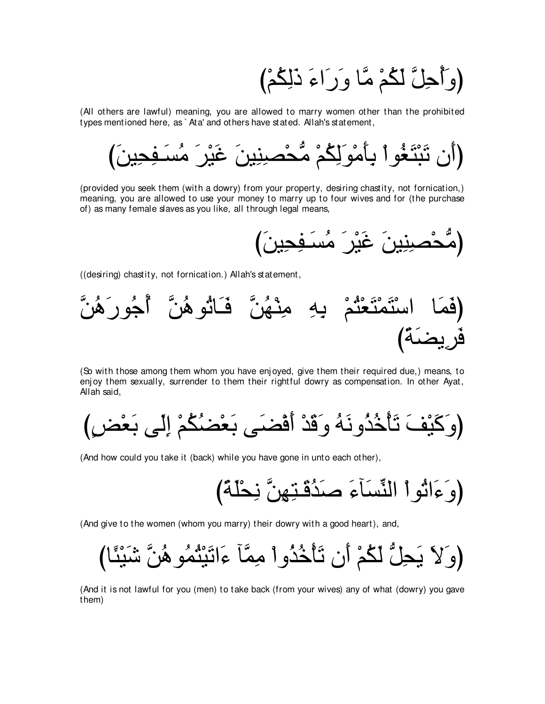(وَأَحِلَّ لَكُمْ مَّا وَرَاءَ ذَلِكُمْ)

(All others are lawful) meaning, you are allowed to marry women other than the prohibited types mentioned here, as `Ata' and others have stated. Allah's statement,

(provided you seek them (with a dowry) from your property, desiring chastity, not fornication,) meaning, you are allowed to use your money to marry up to four wives and for (the purchase of) as many female slaves as you like, all through legal means,

((desiring) chastity, not fornication.) Allah's statement,



(So with those among them whom you have enjoyed, give them their required due,) means, to enjoy them sexually, surrender to them their rightful dowry as compensation. In other Ayat, Allah said,

(And how could you take it (back) while you have gone in unto each other),

(And give to the women (whom you marry) their dowry with a good heart), and,

(And it is not lawful for you (men) to take back (from your wives) any of what (dowry) you gave them)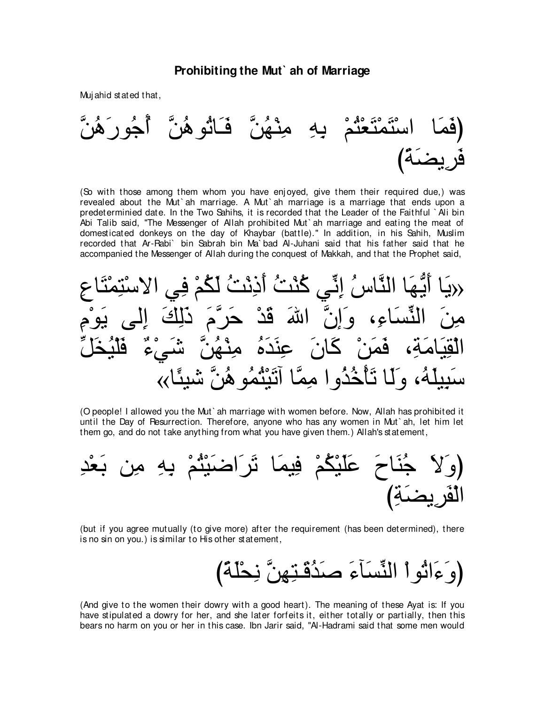#### Prohibiting the Mut ah of Marriage

Mujahid stated that,



(So with those among them whom you have enjoyed, give them their required due,) was revealed about the Mut ah marriage. A Mut ah marriage is a marriage that ends upon a predeterminied date. In the Two Sahihs, it is recorded that the Leader of the Faithful `Ali bin Abi Talib said, "The Messenger of Allah prohibited Mut ah marriage and eating the meat of domesticated donkeys on the day of Khaybar (battle)." In addition, in his Sahih, Muslim recorded that Ar-Rabi` bin Sabrah bin Ma`bad Al-Juhani said that his father said that he accompanied the Messenger of Allah during the conquest of Makkah, and that the Prophet said,



(O people! I allowed you the Mut`ah marriage with women before. Now, Allah has prohibited it until the Day of Resurrection. Therefore, anyone who has any women in Mut ah, let him let them go, and do not take anything from what you have given them.) Allah's statement,



(but if you agree mutually (to give more) after the requirement (has been determined), there is no sin on you.) is similar to His other statement,

(And give to the women their dowry with a good heart). The meaning of these Ayat is: If you have stipulated a dowry for her, and she later forfeits it, either totally or partially, then this bears no harm on you or her in this case. Ibn Jarir said, "Al-Hadrami said that some men would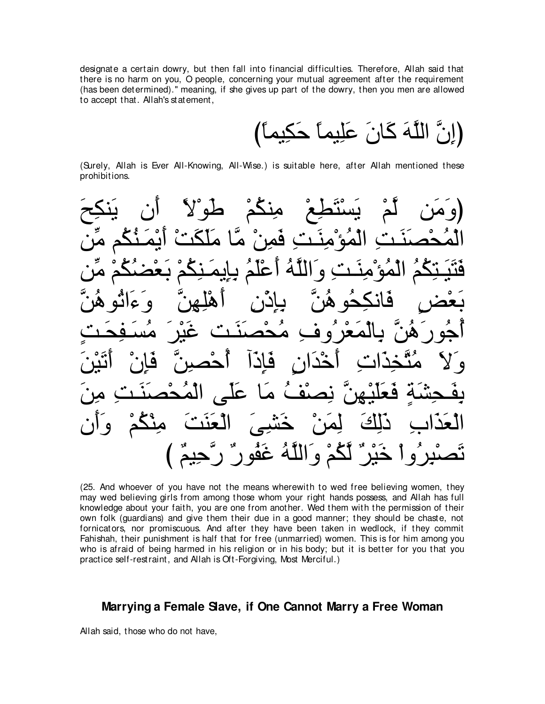designate a certain dowry, but then fall into financial difficulties. Therefore, Allah said that there is no harm on you, O people, concerning your mutual agreement after the requirement (has been determined)." meaning, if she gives up part of the dowry, then you men are allowed to accept that. Allah's statement,

(إِنَّ اللَّهَ كَانَ عَلِيماً حَكِيماً)

(Surely, Allah is Ever All-Knowing, All-Wise.) is suitable here, after Allah mentioned these prohibitions.

 $\sim$   $\sqrt{ }$  $\bullet$ عا  $\bullet$ َاللَّهُ غَفُو ر" ر". حم و

(25. And whoever of you have not the means wherewith to wed free believing women, they may wed believing girls from among those whom your right hands possess, and Allah has full knowledge about your faith, you are one from another. Wed them with the permission of their own folk (guardians) and give them their due in a good manner; they should be chaste, not fornicators, nor promiscuous. And after they have been taken in wedlock, if they commit Fahishah, their punishment is half that for free (unmarried) women. This is for him among you who is afraid of being harmed in his religion or in his body; but it is better for you that you practice self-restraint, and Allah is Oft-Forgiving, Most Merciful.)

## Marrying a Female Slave, if One Cannot Marry a Free Woman

Allah said, those who do not have,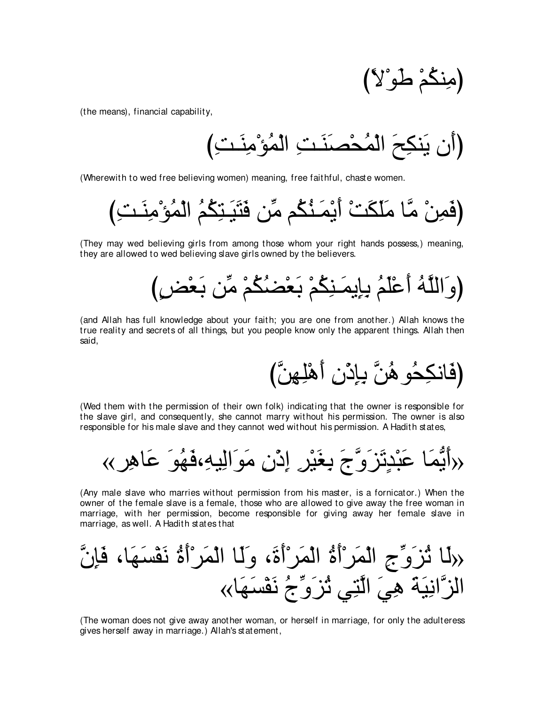(مِنكُمْ طُوْلاً)

(the means), financial capability,

(Wherewith to wed free believing women) meaning, free faithful, chaste women.

(They may wed believing girls from among those whom your right hands possess.) meaning, they are allowed to wed believing slave girls owned by the believers.

(and Allah has full knowledge about your faith; you are one from another.) Allah knows the true reality and secrets of all things, but you people know only the apparent things. Allah then said.

(فَانكِحُو هُنَّ بِإِدْنِ أَهْلِهِنَّ)

(Wed them with the permission of their own folk) indicating that the owner is responsible for the slave girl, and consequently, she cannot marry without his permission. The owner is also responsible for his male slave and they cannot wed without his permission. A Hadith states,

(Any male slave who marries without permission from his master, is a fornicator.) When the owner of the female slave is a female, those who are allowed to give away the free woman in marriage, with her permission, become responsible for giving away her female slave in marriage, as well. A Hadith states that

(The woman does not give away another woman, or herself in marriage, for only the adulteress gives herself away in marriage.) Allah's statement,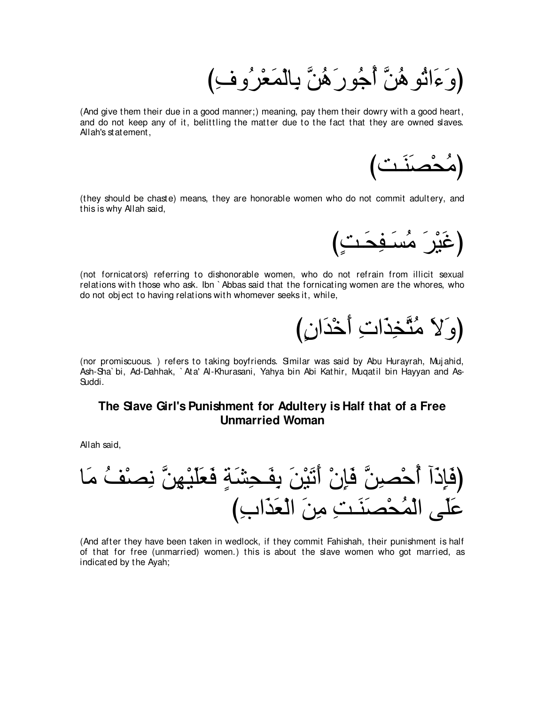(وَعَالَمْوِ هُنَّ أَجُورَ هُنَّ بِالْمَعْرُوفِ)

(And give them their due in a good manner;) meaning, pay them their dowry with a good heart, and do not keep any of it, belittling the matter due to the fact that they are owned slaves. Allah's statement,



(they should be chaste) means, they are honorable women who do not commit adultery, and this is why Allah said,

(غَيْرَ مُسَفِحَتٍ)

(not fornicators) referring to dishonorable women, who do not refrain from illicit sexual relations with those who ask. Ibn ` Abbas said that the fornicating women are the whores, who do not obj ect to having relations with whomever seeks it, while,

(وَ لاَ مُتَّخِذَاتِ أَخْذَانِ)

(nor promiscuous.) refers to taking boyfriends. Similar was said by Abu Hurayrah, Mujahid, Ash-Sha` bi, Ad-Dahhak, ` Ata' Al-Khurasani, Yahya bin Abi Kathir, Muqatil bin Hayyan and As-Suddi.

## **The Slave Girl's Punishment for Adultery is Half that of a Free Unmarried Woman**

Allah said,



(And after they have been taken in wedlock, if they commit Fahishah, their punishment is half of that for free (unmarried) women.) this is about the slave women who got married, as indicated by the Ayah;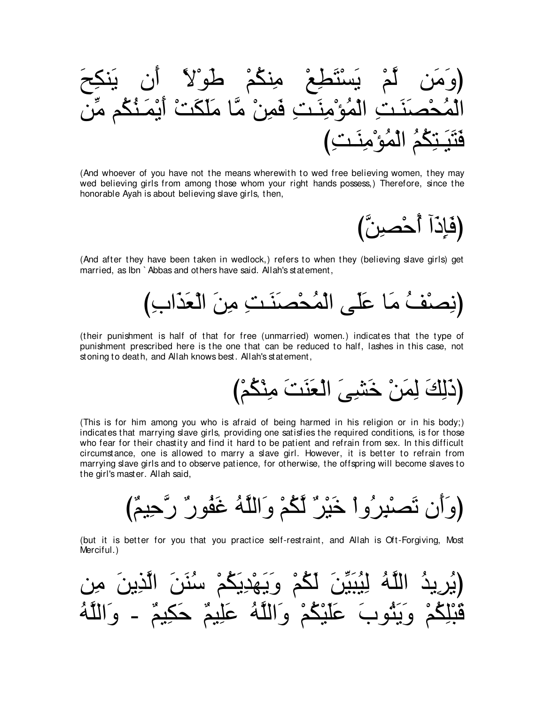(And whoever of you have not the means wherewith to wed free believing women, they may wed believing girls from among those whom your right hands possess,) Therefore, since the honorable Ayah is about believing slave girls, then,

(فَإِذَآ أَحْصشِ)

(And after they have been taken in wedlock,) refers to when they (believing slave girls) get married, as Ibn `Abbas and others have said. Allah's statement.



(their punishment is half of that for free (unmarried) women.) indicates that the type of punishment prescribed here is the one that can be reduced to half, lashes in this case, not stoning to death, and Allah knows best. Allah's statement,

(ذَلِكَ لِمَنْ خَشْبِيَ الْعَنَتَ مِنْكُمْ)

(This is for him among you who is afraid of being harmed in his religion or in his body;) indicates that marrying slave girls, providing one satisfies the required conditions, is for those who fear for their chastity and find it hard to be patient and refrain from sex. In this difficult circumstance, one is allowed to marry a slave girl. However, it is better to refrain from marrying slave girls and to observe patience, for otherwise, the offspring will become slaves to the girl's master. Allah said,

(but it is better for you that you practice self-restraint, and Allah is Oft-Forgiving, Most Merciful.)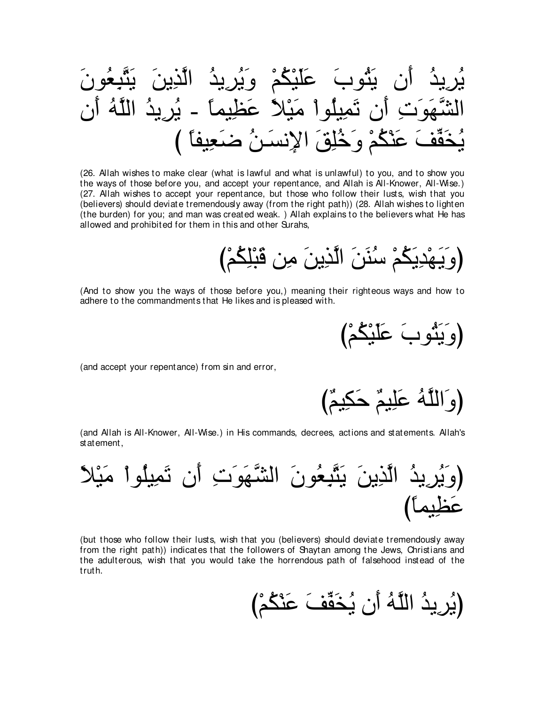عَلَيْكُمْ وِيَر ان بثوب تَمِيلُواْ مَيْلاً عَظِيماً ـ بُرِيدُ اللَّهُ ھَوَنَٽ آن خَفَّفَ عَنْكُمْ وَخُلِقَ الإِنسَنُ ضَعِيفًا

(26. Allah wishes to make clear (what is lawful and what is unlawful) to you, and to show you the ways of those before you, and accept your repentance, and Allah is All-Knower, All-Wise.) (27. Allah wishes to accept your repentance, but those who follow their lusts, wish that you (believers) should deviate tremendously away (from the right path)) (28. Allah wishes to lighten (the burden) for you; and man was created weak.) Allah explains to the believers what He has allowed and prohibited for them in this and other Surahs,

(وَيَهْدِيَكُمْ سُنَنَ الَّذِينَ مِن قَبْلِكُمْ)

(And to show you the ways of those before you,) meaning their righteous ways and how to adhere to the commandments that He likes and is pleased with.

(وَيَثُوبُ عَلَيْكُمْ)

(and accept your repentance) from sin and error,

(وَاللَّهُ عَلِيمٌ حَكِيمٌ)

(and Allah is All-Knower, All-Wise.) in His commands, decrees, actions and statements. Allah's statement,



(but those who follow their lusts, wish that you (believers) should deviate tremendously away from the right path)) indicates that the followers of Shaytan among the Jews, Christians and the adulterous, wish that you would take the horrendous path of falsehood instead of the truth.

(يُرِيدُ اللَّهُ أَن يُخَفَّفَ عَنْكُمْ)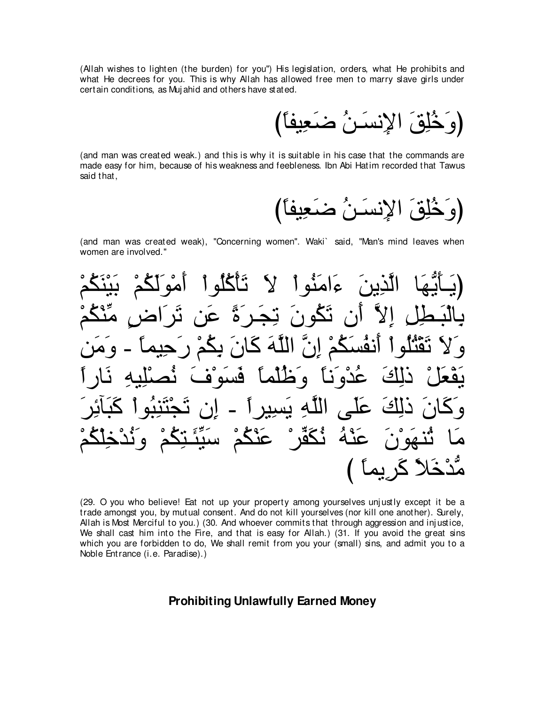(Allah wishes to lighten (the burden) for you") His legislation, orders, what He prohibits and what He decrees for you. This is why Allah has allowed free men to marry slave girls under certain conditions, as Mujahid and others have stated.

(and man was created weak.) and this is why it is suitable in his case that the commands are made easy for him, because of his weakness and feebleness. Ibn Abi Hatim recorded that Tawus said that,

(and man was created weak), "Concerning women". Waki` said, "Man's mind leaves when women are involved."



(29. O you who believe! Eat not up your property among yourselves unjustly except it be a trade amongst you, by mutual consent. And do not kill yourselves (nor kill one another). Surely, Allah is Most Merciful to you.) (30. And whoever commits that through aggression and injustice, We shall cast him into the Fire, and that is easy for Allah.) (31. If you avoid the great sins which you are forbidden to do, We shall remit from you your (small) sins, and admit you to a Noble Entrance (i.e. Paradise).)

#### **Prohibiting Unlawfully Earned Money**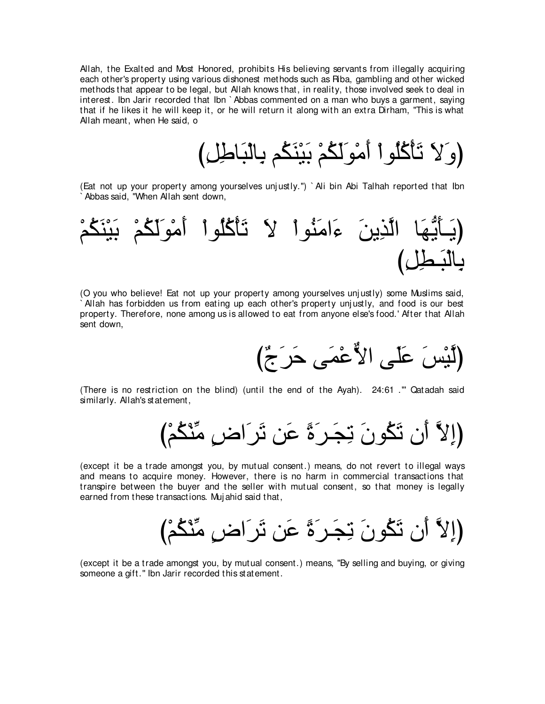Allah, the Exalted and Most Honored, prohibits His believing servants from illegally acquiring each other's property using various dishonest methods such as Riba, gambling and other wicked methods that appear to be legal, but Allah knows that, in reality, those involved seek to deal in interest. Ibn Jarir recorded that Ibn ` Abbas commented on a man who buys a garment, saying that if he likes it he will keep it, or he will return it along with an extra Dirham, "This is what Allah meant, when He said, o

び⌒モ⌒デゅ∠ら∇ャゅ⌒よ ユ⊥ム∠レ∇Β∠よ ∇ユ⊥ム∠ャ∠ヲ∇ョ∠ぺ ∇やヲ⊥ヤ⊥ミ∇ほ∠ゎ ∠Ι∠ヱぴ

(Eat not up your property among yourselves unj ustly.'') ` Ali bin Abi Talhah reported that Ibn Abbas said, "When Allah sent down,



(O you who believe! Eat not up your property among yourselves unj ustly) some Muslims said, ` Allah has forbidden us from eating up each other's property unj ustly, and food is our best property. Therefore, none among us is allowed to eat from anyone else's food.' After that Allah sent down,



(There is no restriction on the blind) (until the end of the Ayah). 24:61 .''' Qatadah said similarly. Allah's statement,

び∇ユ⊥ム∇レあョ ∃チや∠ゲ∠ゎ リ∠ハ ⇔り∠ゲ⇒∠イ⌒ゎ ∠ラヲ⊥ム∠ゎ ラ∠ぺ zΙ⌒まぴ

(except it be a trade amongst you, by mutual consent.) means, do not revert to illegal ways and means to acquire money. However, there is no harm in commercial transactions that transpire between the buyer and the seller with mutual consent, so that money is legally earned from these transactions. Muj ahid said that,

び∇ユ⊥ム∇レあョ ∃チや∠ゲ∠ゎ リ∠ハ ⇔り∠ゲ⇒∠イ⌒ゎ ∠ラヲ⊥ム∠ゎ ラ∠ぺ zΙ⌒まぴ

(except it be a trade amongst you, by mutual consent.) means, "By selling and buying, or giving someone a gift.'' Ibn Jarir recorded this statement.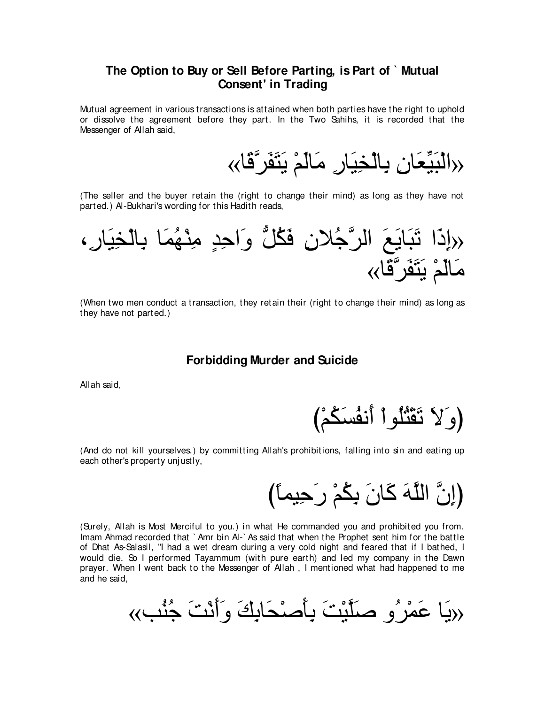## **The Option to Buy or Sell Before Parting, is Part of ` Mutual Consent' in Trading**

Mutual agreement in various transactions is attained when both parties have the right to uphold or dissolve the agreement before they part. In the Two Sahihs, it is recorded that the Messenger of Allah said,

‹‹الْبَيِّعَانِ بِالْخِيَارِ مَالَّمْ يَتَفَرَّقَا››

(The seller and the buyer retain the (right to change their mind) as long as they have not parted.) Al-Bukhari's wording for this Hadith reads,



(When two men conduct a transaction, they retain their (right to change their mind) as long as they have not parted.)

#### **Forbidding Murder and Suicide**

Allah said,

(وَ لاَ نَقْتُلُو اْ أَنفُسَكُمْ)

(And do not kill yourselves.) by committing Allah's prohibitions, falling into sin and eating up each other's property unjustly,

(إِنَّ اللَّهَ كَانَ بِكُمْ رِحِيماً)

(Surely, Allah is Most Merciful to you.) in what He commanded you and prohibited you from. Imam Ahmad recorded that ` Amr bin Al-` As said that when the Prophet sent him for the battle of Dhat As-Salasil, "I had a wet dream during a very cold night and feared that if I bathed, I would die. So I performed Tayammum (with pure earth) and led my company in the Dawn prayer. When I went back to the Messenger of Allah , I mentioned what had happened to me and he said,

«ょ⊥レ⊥ィ ∠ろ∇ル∠ぺ∠ヱ ∠マ⌒よゅ∠エ∇タ∠ほ⌒よ ∠ろ∇Βzヤ∠タ ヱ⊥ゲ∇ヨ∠ハ ゅ∠Α»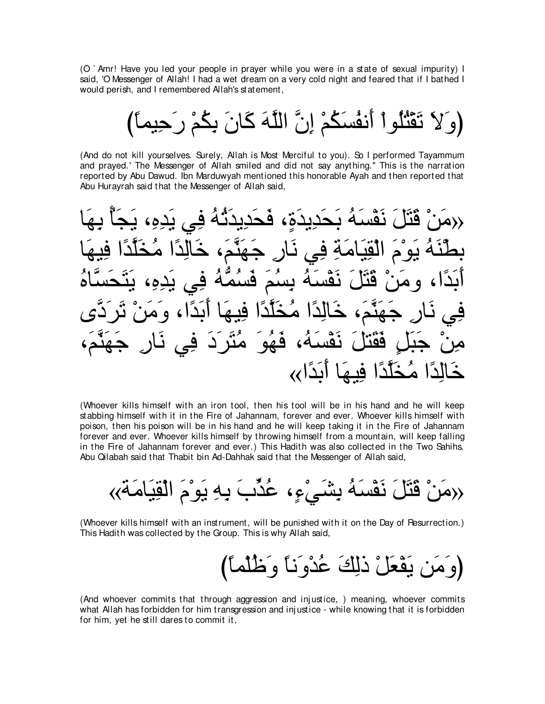(O ` Amr! Have you led your people in prayer while you were in a state of sexual impurity) I said, 'O Messenger of Allah! I had a wet dream on a very cold night and feared that if I bathed I would perish, and I remembered Allah's statement,

(وَ لاَ تَقْتُلُواْ أَنفُسَكُمْ إِنَّ اللَّهَ كَانَ بِكُمْ رَحِيماً)

(And do not kill yourselves. Surely, Allah is Most Merciful to you). So I performed Tayammum and prayed.' The Messenger of Allah smiled and did not say anything.'' This is the narration reported by Abu Dawud. Ibn Marduwyah mentioned this honorable Ayah and then reported that Abu Hurayrah said that the Messenger of Allah said,

√دمَنْ قَتَلَ نَفْسَهُ بَحَدِيدَةٍ، فَحَدِيدَثَّهُ فِي يَدِهِ، يَجَأُ بِهَا بطَّنَهُ يَوْمَ الْقِيَامَةِ فِي نَارٍ جَهَنَّمَ، خَالِدًا مُخَلَّدًا فِيهَا أَبَدًا، ومَنْ قَتَلَ نَقْسَهُ بِسُمَ فَسُمَّهُ فِي يَدِهِ، يَتَحَسَّاهُ فِي نَارٍ جَهَنَّمَ، خَالِدًا مُخَلَّدًا فِيهَا أَبَدًا، وَمَنْ تَرَدَّى مِنْ جَبَلٍ فَقَتْلَ نَقْسَهُ، فَهُوَ مُتَر<sup>َ</sup>دَ فِي نَارِ جَهَنَّمَ، خَالِدًا مُخَلَّدًا فِيهَا أَبَدًا∢

(Whoever kills himself with an iron tool, then his tool will be in his hand and he will keep stabbing himself with it in the Fire of Jahannam, forever and ever. Whoever kills himself with poison, then his poison will be in his hand and he will keep taking it in the Fire of Jahannam forever and ever. Whoever kills himself by throwing himself from a mountain, will keep falling in the Fire of Jahannam forever and ever.) This Hadith was also collected in the Two Sahihs. Abu Qilabah said that Thabit bin Ad-Dahhak said that the Messenger of Allah said,

«る∠ョゅ∠Β⌒ボ∇ャや ∠ュ∇ヲ∠Α ⌒ヮ⌒よ ∠ゆあグ⊥ハ ∩∃¬∇ヶ∠ゼ⌒よ ⊥ヮ∠ジ∇ヘ∠ル ∠モ∠わ∠ホ ∇リ∠ョ»

(Whoever kills himself with an instrument, will be punished with it on the Day of Resurrection.) This Hadith was collected by the Group. This is why Allah said,

び⇔ゅヨ∇ヤ⊥ニ∠ヱ ⇔ゅル∠ヱ∇ギ⊥ハ ∠マ⌒ャク ∇モ∠バ∇ヘ∠Α リ∠ョ∠ヱぴ

(And whoever commits that through aggression and inj ustice, ) meaning, whoever commits what Allah has forbidden for him transgression and inj ustice - while knowing that it is forbidden for him, yet he still dares to commit it,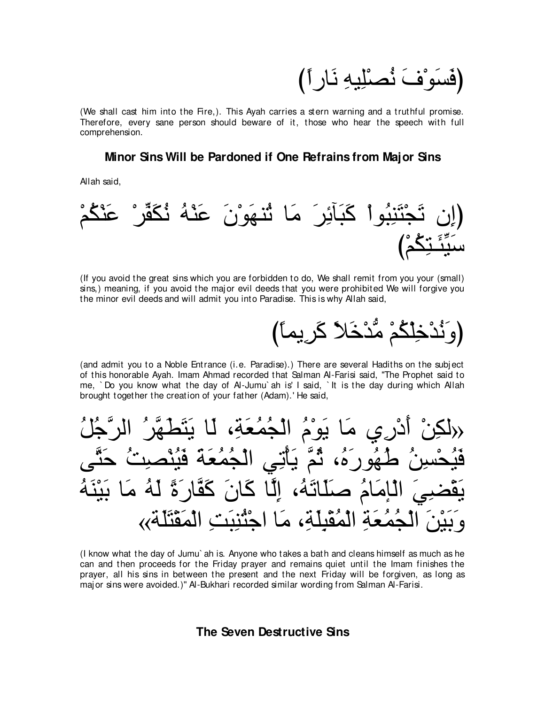ْفَسَو ْفْ نَصْلِلِيهِ نَارٍ أ

(We shall cast him into the Fire,). This Ayah carries a stern warning and a truthful promise. Therefore, every sane person should beware of it, those who hear the speech with full comprehension.

### **Minor Sins Will be Pardoned if One Refrains from Major Sins**

Allah said,



(If you avoid the great sins which you are forbidden to do, We shall remit from you your (small) sins,) meaning, if you avoid the major evil deeds that you were prohibited We will forgive you the minor evil deeds and will admit you into Paradise. This is why Allah said,

び⇔ゅヨΑ⌒ゲ∠ミ ⇔Κ∠カ∇ギぁョ ∇ユ⊥ム∇ヤ⌒カ∇ギ⊥ル∠ヱぴ

(and admit you to a Noble Entrance (i.e. Paradise).) There are several Hadiths on the subject of this honorable Ayah. Imam Ahmad recorded that Salman Al-Farisi said, "The Prophet said to me, ` Do you know what the day of Al-Jumu` ah is' I said, ` It is the day during which Allah brought together the creation of your father (Adam).' He said,

(رلكِنٰ أَدُرِيِ مَا يَوْمُ الُجُمُعَةِ، لَا يَتَطَهَّرُ الرَّجُلُ
$$
\frac{2}{3}
$$
فَيُحُسِنُ لُهُورَهُ، تُمَ يَأَتِيِ الُجُمُعَةَ فَيُنُصِتُ حَتَّى  
يَعُضِيَ الَامَمُ صَلَاتَهُ، إِلَّا كَانَ كَقَارَةَ لَهُ مَا بَيَنَهُ وَبَيْنَ الُجُمُعَةِ المُقَلِّةِ، مَا اجُتُنِتِ المُقَلَّةَ»

(I know what the day of Jumu` ah is. Anyone who takes a bath and cleans himself as much as he can and then proceeds for the Friday prayer and remains quiet until the Imam finishes the prayer, all his sins in between the present and the next Friday will be forgiven, as long as major sins were avoided.)'' Al-Bukhari recorded similar wording from Salman Al-Farisi.

## **The Seven Destructive Sins**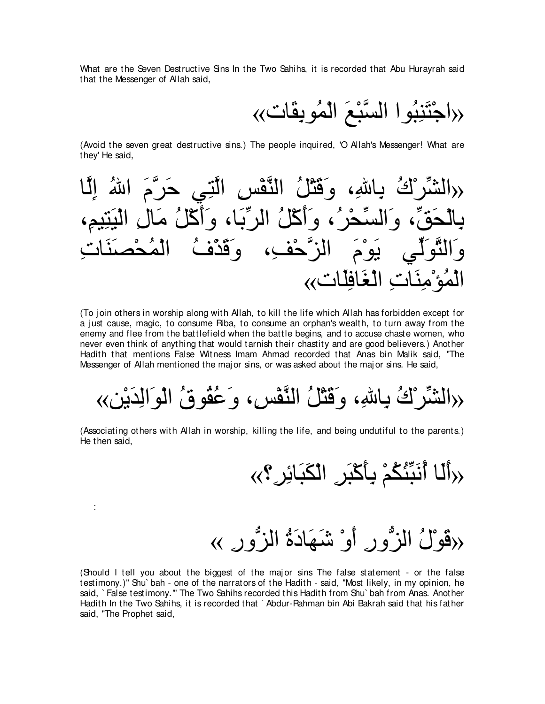What are the Seven Destructive Sins In the Two Sahihs, it is recorded that Abu Hurayrah said that the Messenger of Allah said,

«れゅ∠ボ⌒よヲ⊥ヨ∇ャや ∠ノ∇らzジャや やヲ⊥ら⌒レ∠わ∇ィや»

(Avoid the seven great destructive sins.) The people inquired, 'O Allah's Messenger! What are they' He said,



(To join others in worship along with Allah, to kill the life which Allah has forbidden except for a just cause, magic, to consume Riba, to consume an orphan's wealth, to turn away from the enemy and flee from the battlefield when the battle begins, and to accuse chaste women, who never even think of anything that would tarnish their chastity and are good believers.) Another Hadith that mentions False Witness Imam Ahmad recorded that Anas bin Malik said, "The Messenger of Allah mentioned the maj or sins, or was asked about the maj or sins. He said,

«リ∇Α∠ギ⌒ャや∠ヲ∇ャや ⊥ベヲ⊥ボ⊥ハ∠ヱ ∩⌒ザ∇ヘzレャや ⊥モ∇わ∠ホ∠ヱ ∩⌒ぶゅ⌒よ ⊥ポ∇ゲあゼャや»

(Associating others with Allah in worship, killing the life, and being undutiful to the parents.) He then said,

:

«√أَلَا أَنَبِّئُكُمْ بِأَكْبَرِ ِ الْكَبَائِرِ ؟››

«دِقَوْلُ الزَّوِّرِ ِ أَوْ شَـهَادَةُ الزَّورِ بِ

(Should I tell you about the biggest of the maj or sins The false statement - or the false testimony.)'' Shu` bah - one of the narrators of the Hadith - said, "Most likely, in my opinion, he said, ` False testimony.''' The Two Sahihs recorded this Hadith from Shu` bah from Anas. Another Hadith In the Two Sahihs, it is recorded that ` Abdur-Rahman bin Abi Bakrah said that his father said, "The Prophet said,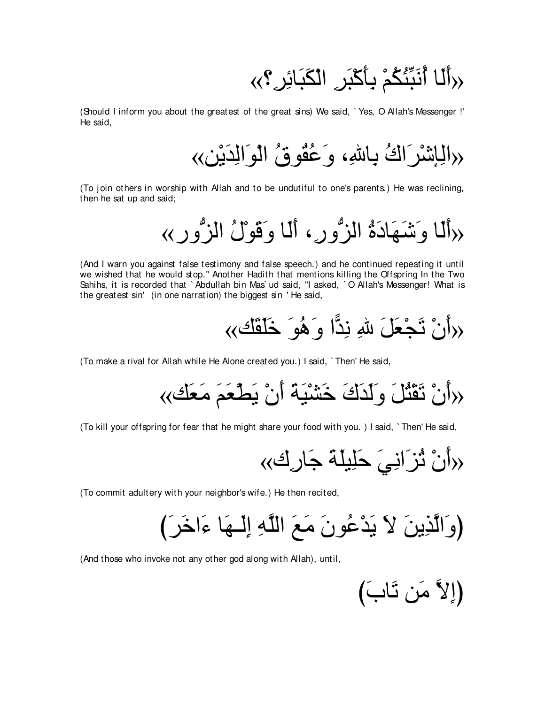# √ِرأَلَـا أَنَبِّئُكُمْ بِأَكْبَرِ الْكَبَائِرِ ؟››

(Should I inform you about the greatest of the great sins) We said, ` Yes, O Allah's Messenger !' He said,

«الْبِاشْرَ اكْ بِـاللهِ، وَعُقُوقُ الْمِرَالِدَيْنِ»

(To join others in worship with Allah and to be undutiful to one's parents.) He was reclining, then he sat up and said;

«رألما وَ شَيَهَادَةُ الزُّورِ ، أَلما وَقَوْلُ الزُّورِ »

(And I warn you against false testimony and false speech.) and he continued repeating it until we wished that he would stop.'' Another Hadith that mentions killing the Offspring In the Two Sahihs, it is recorded that ` Abdullah bin Mas` ud said, "I asked, ` O Allah's Messenger! What is the greatest sin' (in one narration) the biggest sin ' He said,

«マ∠ボ∠ヤ∠カ ∠ヲ⊥ワ∠ヱ や6ギ⌒ル ⌒ぶ ∠モ∠バ∇イ∠ゎ ∇ラ∠ぺ»

(To make a rival for Allah while He Alone created you.) I said, ` Then' He said,

«マ∠バ∠ョ ∠ユ∠バ∇ト∠Α ∇ラ∠ぺ ∠る∠Β∇ゼ∠カ ∠ポ∠ギ∠ャ∠ヱ ∠モ⊥わ∇ボ∠ゎ ∇ラ∠ぺ»

(To kill your offspring for fear that he might share your food with you. ) I said, ` Then' He said,

«ポ⌒ケゅ∠ィ ∠る∠ヤΒ⌒ヤ∠ェ ∠ヶ⌒ルや∠ゴ⊥ゎ ∇ラ∠ぺ»

(To commit adultery with your neighbor's wife.) He then recited,

び∠ゲ∠カや∠¬ ゅ∠ヰ⇒∠ャ⌒ま ⌒ヮzヤャや ∠ノ∠ョ ∠ラヲ⊥ハ∇ギ∠Α ∠Ι ∠リΑ⌒グzャや∠ヱぴ

(And those who invoke not any other god along with Allah), until,

$$
\left(\bigcup_{i=1}^N\tilde{U}_i\right)
$$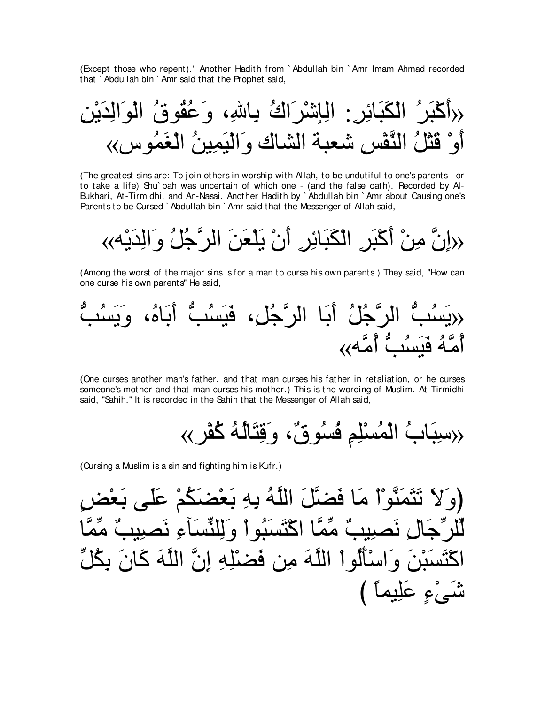(Except those who repent)." Another Hadith from `Abdullah bin `Amr Imam Ahmad recorded that `Abdullah bin `Amr said that the Prophet said,

(The greatest sins are: To join others in worship with Allah, to be undutiful to one's parents - or to take a life) Shu'bah was uncertain of which one - (and the false oath). Recorded by Al-Bukhari, At-Tirmidhi, and An-Nasai. Another Hadith by `Abdullah bin `Amr about Causing one's Parents to be Cursed `Abdullah bin `Amr said that the Messenger of Allah said,

{«إِنَّ مِنْ أَكْبَرِ ِ الْكَبَائِرِ ۖ أَنْ يَلْعَنَ الرَّجُلُ وَالِّدَيْهِ ﴾

(Among the worst of the major sins is for a man to curse his own parents.) They said. "How can one curse his own parents" He said,

(One curses another man's father, and that man curses his father in retaliation, or he curses someone's mother and that man curses his mother.) This is the wording of Muslim. At-Tirmidhi said, "Sahih." It is recorded in the Sahih that the Messenger of Allah said,

(Cursing a Muslim is a sin and fighting him is Kufr.)

(وَلاَ تَتَمَنَّوْاْ مَا فَضَّلَ اللَّهُ بِهِ بَعْضَكُمْ عَلَى بَعْد ال نَصبِيبٌ مِّمَّا اكْتَسَبُو أَ وَ لِلنِّسَآءِ نَصبِيبٌ مِّ سَبْنَ وَاسْأَلُواْ اللَّهَ مِن فَضْلِهِ إِنَّ اللَّهَ كَانَ بِكُلِّ شَّمَىْءِ عَلِيماً )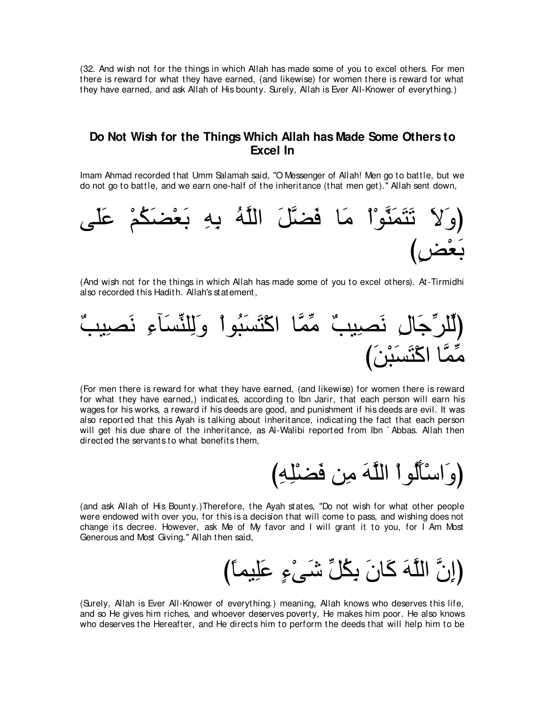(32. And wish not for the things in which Allah has made some of you to excel others. For men there is reward for what they have earned, (and likewise) for women there is reward for what they have earned, and ask Allah of His bounty. Surely, Allah is Ever All-Knower of everything.)

## **Do Not Wish for the Things Which Allah has Made Some Others to Excel In**

Imam Ahmad recorded that Umm Salamah said, "O Messenger of Allah! Men go to battle, but we do not go to battle, and we earn one-half of the inheritance (that men get).'' Allah sent down,



(And wish not for the things in which Allah has made some of you to excel others). At-Tirmidhi also recorded this Hadith. Allah's statement,



(For men there is reward for what they have earned, (and likewise) for women there is reward for what they have earned,) indicates, according to Ibn Jarir, that each person will earn his wages for his works, a reward if his deeds are good, and punishment if his deeds are evil. It was also reported that this Ayah is talking about inheritance, indicating the fact that each person will get his due share of the inheritance, as Al-Walibi reported from Ibn `Abbas. Allah then directed the servants to what benefits them,



(and ask Allah of His Bounty.)Therefore, the Ayah states, "Do not wish for what other people were endowed with over you, for this is a decision that will come to pass, and wishing does not change its decree. However, ask Me of My favor and I will grant it to you, for I Am Most Generous and Most Giving.'' Allah then said,

(إِنَّ اللَّهَ كَانَ بِكُلِّ شَيْءِ عَلِيماً)

(Surely, Allah is Ever All-Knower of everything.) meaning, Allah knows who deserves this life, and so He gives him riches, and whoever deserves poverty, He makes him poor. He also knows who deserves the Hereafter, and He directs him to perform the deeds that will help him to be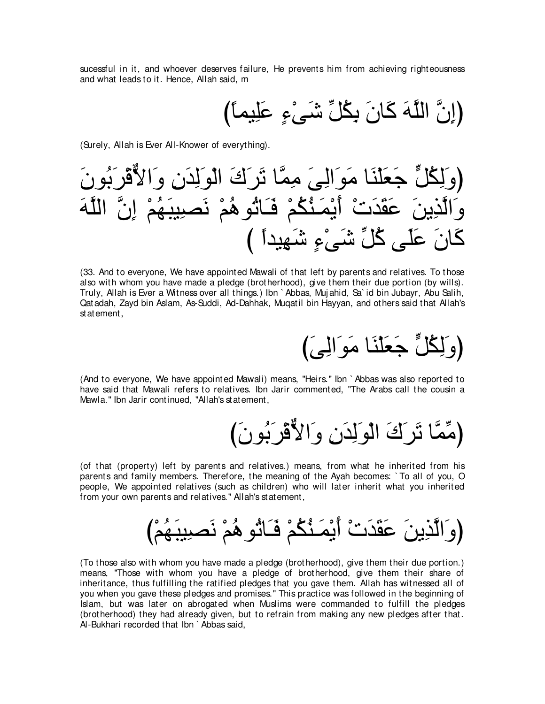sucessful in it, and whoever deserves failure, He prevents him from achieving righteousness and what leads to it. Hence, Allah said, m

(Surely, Allah is Ever All-Knower of everything).

(33. And to evervone. We have appointed Mawali of that left by parents and relatives. To those also with whom you have made a pledge (brotherhood), give them their due portion (by wills). Truly, Allah is Ever a Witness over all things.) Ibn `Abbas, Mujahid, Sa`id bin Jubayr, Abu Salih, Qatadah, Zayd bin Aslam, As-Suddi, Ad-Dahhak, Mugatil bin Hayyan, and others said that Allah's statement,

(وَلِكُلٍّ جَعَلْنَا مَوَالِيَ)

(And to everyone, We have appointed Mawali) means, "Heirs." Ibn `Abbas was also reported to have said that Mawali refers to relatives. Ibn Jarir commented, "The Arabs call the cousin a Mawla." Ibn Jarir continued, "Allah's statement,

(مِّمَّا تَرَكَ الْوَلِدَنِ وَالأُقْرَبُونَ)

(of that (property) left by parents and relatives.) means, from what he inherited from his parents and family members. Therefore, the meaning of the Avah becomes: `To all of you, O people, We appointed relatives (such as children) who will later inherit what you inherited from your own parents and relatives." Allah's statement,

(To those also with whom you have made a pledge (brotherhood), give them their due portion.) means, "Those with whom you have a pledge of brotherhood, give them their share of inheritance, thus fulfilling the ratified pledges that you gave them. Allah has witnessed all of you when you gave these pledges and promises." This practice was followed in the beginning of Islam, but was later on abrogated when Muslims were commanded to fulfill the pledges (brotherhood) they had already given, but to refrain from making any new pledges after that. Al-Bukhari recorded that Ibn `Abbas said,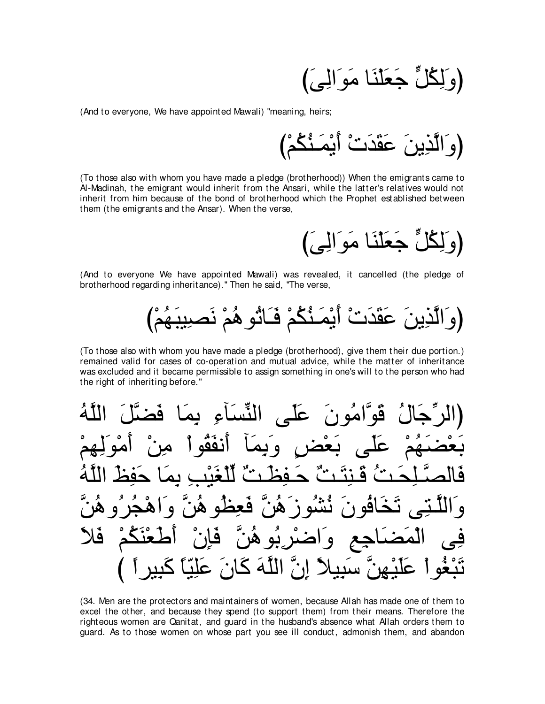(وَ لِكُلٍّ جَعَلْنَا مَوَالِيَ)

(And to everyone, We have appointed Mawali) "meaning, heirs;

(To those also with whom you have made a pledge (brotherhood)) When the emigrants came to Al-Madinah, the emigrant would inherit from the Ansari, while the latter's relatives would not inherit from him because of the bond of brotherhood which the Prophet established between them (the emigrants and the Ansar). When the verse,

(وَلِكُلٍّ جَعَلْنَا مَوَالِيَ)

(And to everyone We have appointed Mawali) was revealed, it cancelled (the pledge of brotherhood regarding inheritance)." Then he said, "The verse,

(To those also with whom you have made a pledge (brotherhood), give them their due portion.) remained valid for cases of co-operation and mutual advice, while the matter of inheritance was excluded and it became permissible to assign something in one's will to the person who had the right of inheriting before."

النَّسَاءِ بِم امُونَ عَلَّ ِ قو ّ ، وو<sub>ه</sub>  $\lambda$ فعظه هزز  $\Delta$ آهو ڪ ് فلا ്ച  $\bullet$ اِنٌ اللَّهَ كَانَ عَلِيّاً كَبِير

(34. Men are the protectors and maintainers of women, because Allah has made one of them to excel the other, and because they spend (to support them) from their means. Therefore the righteous women are Qanitat, and guard in the husband's absence what Allah orders them to guard. As to those women on whose part you see ill conduct, admonish them, and abandon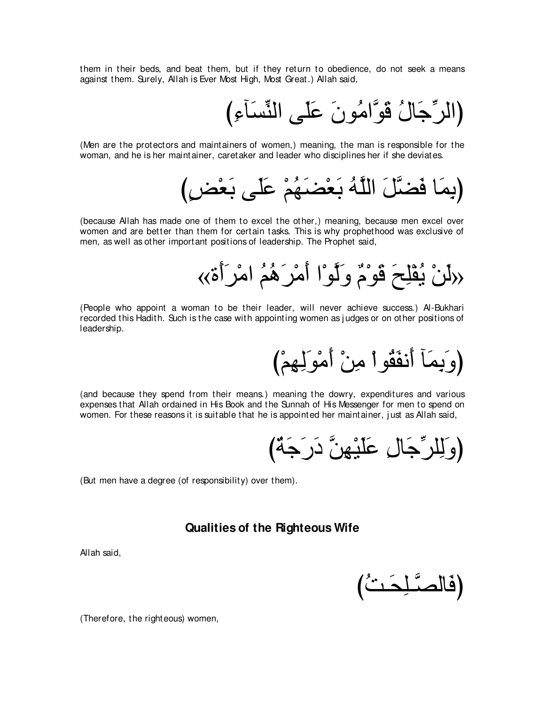them in their beds, and beat them, but if they return to obedience, do not seek a means against them. Surely, Allah is Ever Most High, Most Great.) Allah said,

び⌒¬べ∠ジあレャや ヴ∠ヤ∠ハ ∠ラヲ⊥ョやzヲ∠ホ ⊥メゅ∠ィあゲャやぴ

(Men are the protectors and maintainers of women,) meaning, the man is responsible for the woman, and he is her maintainer, caretaker and leader who disciplines her if she deviates.

(بِمَا فَضَّلَ اللَّهُ بَعْضَـهُمْ عَلَى بَعْض)

(because Allah has made one of them to excel the other,) meaning, because men excel over women and are better than them for certain tasks. This is why prophethood was exclusive of men, as well as other important positions of leadership. The Prophet said,

«دَلَنْ يُقْلِحَ قَوْمٌ وَلَوْا أَمْرَهُمُ امْرَأَةَ»

(People who appoint a woman to be their leader, will never achieve success.) Al-Bukhari recorded this Hadith. Such is the case with appointing women as judges or on other positions of leadership.

(وَيِمَا أَنفَقُواْ مِنْ أَمْوَلِهِمْ)

(and because they spend from their means.) meaning the dowry, expenditures and various expenses that Allah ordained in His Book and the Sunnah of His Messenger for men to spend on women. For these reasons it is suitable that he is appointed her maintainer, just as Allah said,

(وَلِلرِّجَالِ عَلَيْهِنَّ دَرَجَةٌ)

(But men have a degree (of responsibility) over them).

### **Qualities of the Righteous Wife**

Allah said,

$$
\left(\text{if} \ \text{if} \ \text{if} \ \text{if} \ \text{if} \ \text{if} \ \text{if} \ \text{if} \ \text{if} \ \text{if} \ \text{if} \ \text{if} \ \text{if} \ \text{if} \ \text{if} \ \text{if} \ \text{if} \ \text{if} \ \text{if} \ \text{if} \ \text{if} \ \text{if} \ \text{if} \ \text{if} \ \text{if} \ \text{if} \ \text{if} \ \text{if} \ \text{if} \ \text{if} \ \text{if} \ \text{if} \ \text{if} \ \text{if} \ \text{if} \ \text{if} \ \text{if} \ \text{if} \ \text{if} \ \text{if} \ \text{if} \ \text{if} \ \text{if} \ \text{if} \ \text{if} \ \text{if} \ \text{if} \ \text{if} \ \text{if} \ \text{if} \ \text{if} \ \text{if} \ \text{if} \ \text{if} \ \text{if} \ \text{if} \ \text{if} \ \text{if} \ \text{if} \ \text{if} \ \text{if} \ \text{if} \ \text{if} \ \text{if} \ \text{if} \ \text{if} \ \text{if} \ \text{if} \ \text{if} \ \text{if} \ \text{if} \ \text{if} \ \text{if} \ \text{if} \ \text{if} \ \text{if} \ \text{if} \ \text{if} \ \text{if} \ \text{if} \ \text{if} \ \text{if} \ \text{if} \ \text{if} \ \text{if} \ \text{if} \ \text{if} \ \text{if} \ \text{if} \ \text{if} \ \text{if} \ \text{if} \ \text{if} \ \text{if} \ \text{if} \ \text{if} \ \text{if} \ \text{if} \ \text{if} \ \text{if} \ \text{if} \ \text{if} \ \text{if} \ \text{if} \ \text{if} \ \text{if} \ \text{if} \ \text{if} \ \text{if} \ \text{if} \ \text{if} \ \text{if} \ \text{if} \ \text{if} \ \text{if} \ \text{if} \ \text{if} \ \text{if} \ \text{if} \ \text{if} \ \text{if} \ \text{if} \ \text{if} \ \text{if} \ \text{if} \ \text{if} \ \text
$$

(Therefore, the righteous) women,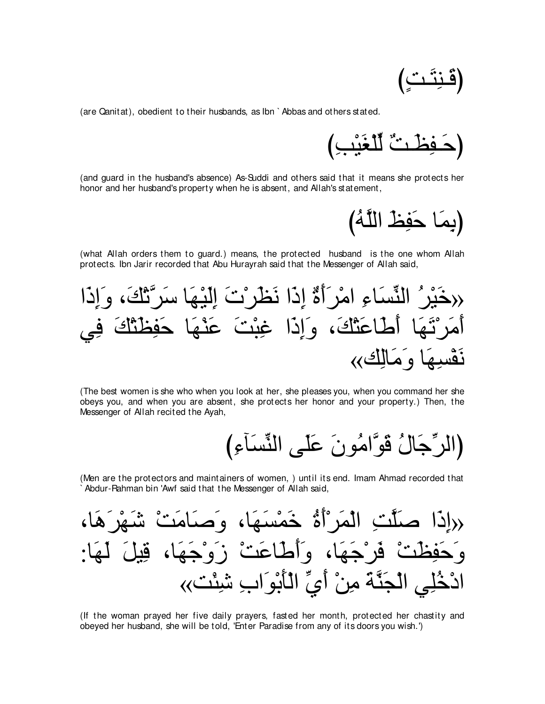$$
\left(\underline{\tilde{e}}\,\underline{\tilde{u}}\,\underline{\tilde{u}}\,\underline{\tilde{v}}\right)
$$

(are Qanitat), obedient to their husbands, as Ibn ` Abbas and others stated.

び⌒ょ∇Β∠ピ∇ヤあャ ∀ろ⇒∠ヌ⌒ヘ⇒∠ェぴ

(and guard in the husband's absence) As-Suddi and others said that it means she protects her honor and her husband's property when he is absent, and Allah's statement,

(بِمَا حَفِظ اللَّهُ)

(what Allah orders them to guard.) means, the protected husband is the one whom Allah protects. Ibn Jarir recorded that Abu Hurayrah said that the Messenger of Allah said,

や∠ク⌒ま∠ヱ ∩∠マ∇ゎzゲ∠シ ゅ∠ヰ∇Β∠ャ⌒ま ∠れ∇ゲ∠ヌ∠ル や∠ク⌒ま ∀り∠ぺ∠ゲ∇ョや ⌒¬ゅ∠ジあレャや ⊥ゲ∇Β∠カ» ヶ⌒プ ∠マ∇わ∠ヌ⌒ヘ∠ェ ゅ∠ヰ∇レ∠ハ ∠ろ∇ら⌒ビ や∠ク⌒ま∠ヱ ∩∠マ∇わ∠ハゅ∠デ∠ぺ ゅ∠ヰ∠ゎ∇ゲ∠ョ∠ぺ «マ⌒ャゅ∠ョ∠ヱ ゅ∠ヰ⌒ジ∇ヘ∠ル

(The best women is she who when you look at her, she pleases you, when you command her she obeys you, and when you are absent, she protects her honor and your property.) Then, the Messenger of Allah recited the Ayah,

び⌒¬べ∠ジあレャや ヴ∠ヤ∠ハ ∠ラヲ⊥ョやzヲ∠ホ ⊥メゅ∠ィあゲャやぴ

(Men are the protectors and maintainers of women, ) until its end. Imam Ahmad recorded that Abdur-Rahman bin 'Awf said that the Messenger of Allah said,

∩ゅ∠ワ∠ゲ∇ヰ∠セ ∇ろ∠ョゅ∠タ∠ヱ ∩ゅ∠ヰ∠ジ∇ヨ∠カ ⊥り∠ぺ∇ゲ∠ヨ∇ャや ⌒ろzヤ∠タ や∠ク⌒ま» :ゅ∠ヰ∠ャ ∠モΒ⌒ホ ∩ゅ∠ヰ∠ィ∇ヱ∠コ ∇ろ∠ハゅ∠デ∠ぺ∠ヱ ∩ゅ∠ヰ∠ィ∇ゲ∠プ ∇ろ∠ヌ⌒ヘ∠ェ∠ヱ «ろ∇ゃ⌒セ ⌒ゆや∠ヲ∇よ∠ほ∇ャや あヵ∠ぺ ∇リ⌒ョ ∠るzレ∠イ∇ャや ヶ⌒ヤ⊥カ∇キや

(If the woman prayed her five daily prayers, fasted her month, protected her chastity and obeyed her husband, she will be told, 'Enter Paradise from any of its doors you wish.')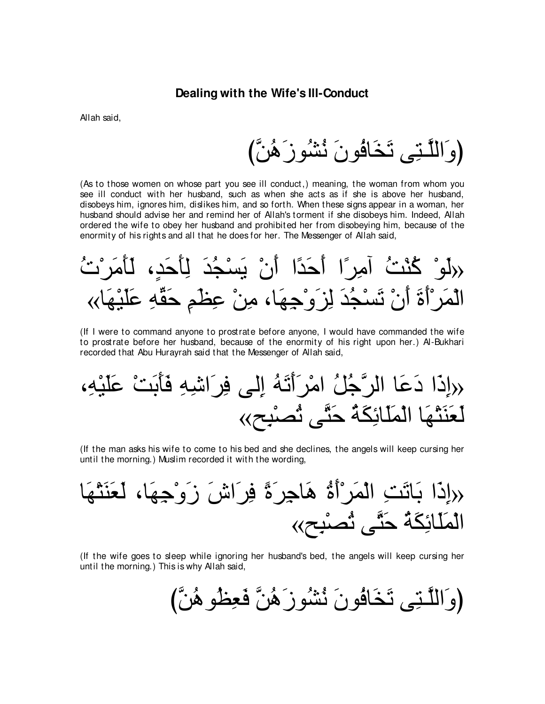#### **Dealing with the Wife's Ill-Conduct**

Allah said,

びzリ⊥ワ∠コヲ⊥ゼ⊥ル ∠ラヲ⊥プゅ∠ガ∠ゎ ヴ⌒わ⇒zヤャや∠ヱぴ

(As to those women on whose part you see ill conduct,) meaning, the woman from whom you see ill conduct with her husband, such as when she acts as if she is above her husband, disobeys him, ignores him, dislikes him, and so forth. When these signs appear in a woman, her husband should advise her and remind her of Allah's torment if she disobeys him. Indeed, Allah ordered the wife to obey her husband and prohibited her from disobeying him, because of the enormity of his rights and all that he does for her. The Messenger of Allah said,

⊥れ∇ゲ∠ョ∠ほ∠ャ ∩∃ギ∠ェ∠ほ⌒ャ ∠ギ⊥イ∇ジ∠Α ∇ラ∠ぺ や⇔ギ∠ェ∠ぺ や⇔ゲ⌒ョへ ⊥ろ∇レ⊥ミ ∇ヲ∠ャ» «ゅ∠ヰ∇Β∠ヤ∠ハ ⌒ヮあボ∠ェ ⌒ユ∠ヌ⌒ハ ∇リ⌒ョ ∩ゅ∠ヰ⌒ィ∇ヱ∠ゴ⌒ャ ∠ギ⊥イ∇ジ∠ゎ ∇ラ∠ぺ ∠り∠ぺ∇ゲ∠ヨ∇ャや

(If I were to command anyone to prostrate before anyone, I would have commanded the wife to prostrate before her husband, because of the enormity of his right upon her.) Al-Bukhari recorded that Abu Hurayrah said that the Messenger of Allah said,

∩⌒ヮ∇Β∠ヤ∠ハ ∇ろ∠よ∠ほ∠プ ⌒ヮ⌒セや∠ゲ⌒プ ヴャ⌒ま ⊥ヮ∠ゎ∠ぺ∠ゲ∇ョや ⊥モ⊥ィzゲャや ゅ∠ハ∠キ や∠ク⌒ま» «ウ⌒ら∇ダ⊥ゎ ヴzわ∠ェ ⊥る∠ム⌒もゅ∠ヤ∠ヨ∇ャや ゅ∠ヰ∇わ∠レ∠バ∠ャ

(If the man asks his wife to come to his bed and she declines, the angels will keep cursing her until the morning.) Muslim recorded it with the wording,

ゅ∠ヰ∇わ∠レ∠バ∠ャ ∩ゅ∠ヰ⌒ィ∇ヱ∠コ ∠スや∠ゲ⌒プ ⇔り∠ゲ⌒ィゅ∠ワ ⊥り∠ぺ∇ゲ∠ヨ∇ャや ⌒ろ∠ゎゅ∠よ や∠ク⌒ま» «ウ⌒ら∇ダ⊥ゎ ヴzわ∠ェ ⊥る∠ム⌒もゅ∠ヤ∠ヨ∇ャや

(If the wife goes to sleep while ignoring her husband's bed, the angels will keep cursing her until the morning.) This is why Allah said,

(وَاللَّتِي تَخَافُونَ نُشُوزَهُنَّ فَعِظُوهُنَّ)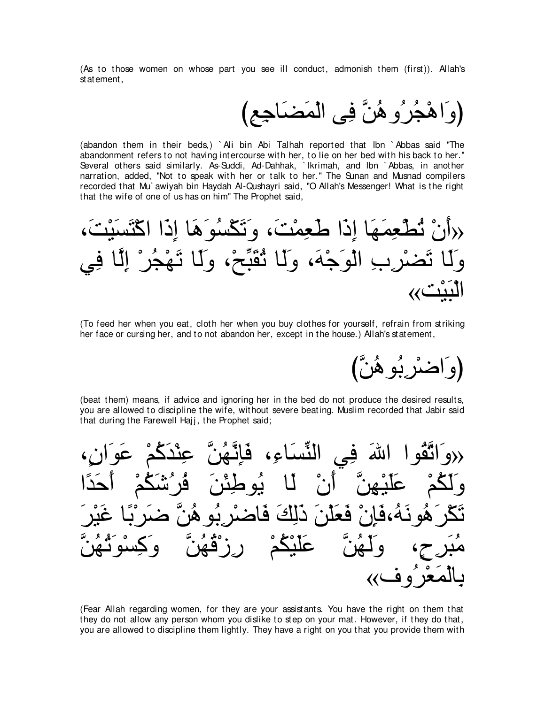(As to those women on whose part you see ill conduct, admonish them (first)). Allah's statement,

び⌒ノ⌒ィゅ∠ツ∠ヨ∇ャや ヴ⌒プ zリ⊥ワヱ⊥ゲ⊥イ∇ワや∠ヱぴ

(abandon them in their beds,) ` Ali bin Abi Talhah reported that Ibn ` Abbas said "The abandonment refers to not having intercourse with her, to lie on her bed with his back to her.'' Several others said similarly. As-Suddi, Ad-Dahhak, ` Ikrimah, and Ibn ` Abbas, in another narration, added, "Not to speak with her or talk to her.'' The Sunan and Musnad compilers recorded that Mu` awiyah bin Haydah Al-Qushayri said, "O Allah's Messenger! What is the right that the wife of one of us has on him'' The Prophet said,

∩∠ろ∇Β∠ジ∠わ∇ミや や∠ク⌒ま ゅ∠ワ∠ヲ⊥ジ∇ム∠ゎ∠ヱ ∩∠ろ∇ヨ⌒バ∠デ や∠ク⌒ま ゅ∠ヰ∠ヨ⌒バ∇ト⊥ゎ ∇ラ∠ぺ» ヶ⌒プ ゅzャ⌒ま ∇ゲ⊥イ∇ヰ∠ゎ ゅ∠ャ∠ヱ ∩∇ウあら∠ボ⊥ゎ ゅ∠ャ∠ヱ ∩∠ヮ∇ィ∠ヲ∇ャや ⌒ゆ⌒ゲ∇ツ∠ゎ ゅ∠ャ∠ヱ «ろ∇Β∠ら∇ャや

(To feed her when you eat, cloth her when you buy clothes for yourself, refrain from striking her face or cursing her, and to not abandon her, except in the house.) Allah's statement,

|و اضرّ*ر*بُو هُنَّ)

(beat them) means, if advice and ignoring her in the bed do not produce the desired results, you are allowed to discipline the wife, without severe beating. Muslim recorded that Jabir said that during the Farewell Hajj, the Prophet said;

حروَاتَّقُوا اللهَ فِي النِّسَاءِ، فَإِنَّهُنَّ عِنْدَكُمْ عَوَانٍ، وَلَكُمْ عَلَيْهِنَّ أَنْ لَـا يُوطِئْنَ فُر′شَكُمْ أَحَدًا تَكْرَ هُونَهُ،فَإِنْ فَعَلْنَ ذَلِكَ فَاضْرْ بُو هُنَّ ضَرَبَّا غَيْرَ مُبَرحٍ، وَلَـهُنَّ عَلَيْكُمْ رِزْقُـهُنَّ وَكِسْوَثُـهُنَّ بالمَعْرُوف››

(Fear Allah regarding women, for they are your assistants. You have the right on them that they do not allow any person whom you dislike to step on your mat. However, if they do that, you are allowed to discipline them lightly. They have a right on you that you provide them with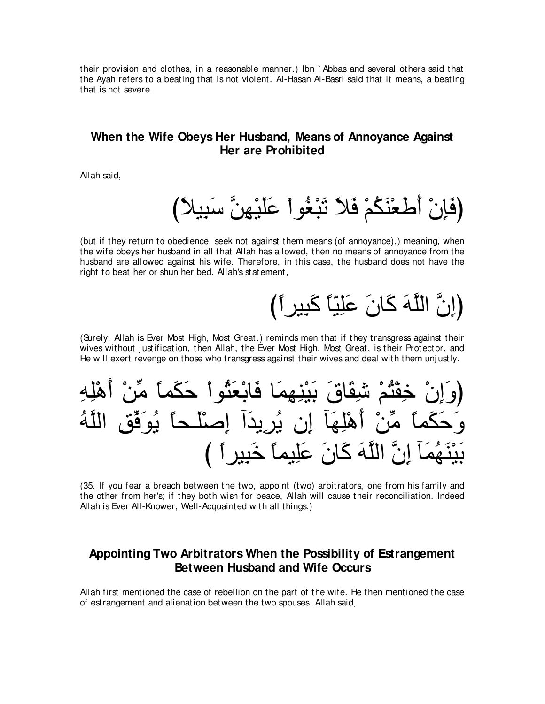their provision and clothes, in a reasonable manner.) Ibn `Abbas and several others said that the Ayah refers to a beating that is not violent. Al-Hasan Al-Basri said that it means, a beating that is not severe.

# When the Wife Obeys Her Husband, Means of Annovance Against Her are Prohibited

Allah said,

(but if they return to obedience, seek not against them means (of annoyance),) meaning, when the wife obeys her husband in all that Allah has allowed, then no means of annoyance from the husband are allowed against his wife. Therefore, in this case, the husband does not have the right to beat her or shun her bed. Allah's statement,

# (إِنَّ اللَّهَ كَانَ عَلِيًّا كَبِيرٍ أَ)

(Surely, Allah is Ever Most High, Most Great.) reminds men that if they transgress against their wives without justification, then Allah, the Ever Most High, Most Great, is their Protector, and He will exert revenge on those who transgress against their wives and deal with them unjustly.



(35. If you fear a breach between the two, appoint (two) arbitrators, one from his family and the other from her's; if they both wish for peace, Allah will cause their reconciliation. Indeed Allah is Ever All-Knower, Well-Acquainted with all things.)

# Appointing Two Arbitrators When the Possibility of Estrangement **Between Husband and Wife Occurs**

Allah first mentioned the case of rebellion on the part of the wife. He then mentioned the case of estrangement and alienation between the two spouses. Allah said,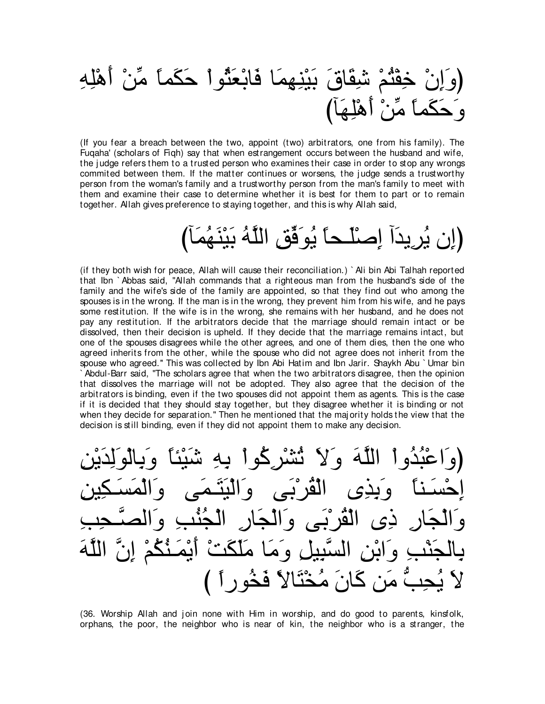# ِ كِنْنِهِمَا فَابْعَثُواْ حَكَماً مِّنْ أَهْلِهِ びべ∠ヰ⌒ヤ∇ワ∠ぺ ∇リあョ ⇔ゅヨ∠ム∠ェ∠ヱ

(If you fear a breach between the two, appoint (two) arbitrators, one from his family). The Fuqaha' (scholars of Fiqh) say that when estrangement occurs between the husband and wife, the judge refers them to a trusted person who examines their case in order to stop any wrongs commited between them. If the matter continues or worsens, the j udge sends a trustworthy person from the woman's family and a trustworthy person from the man's family to meet with them and examine their case to determine whether it is best for them to part or to remain together. Allah gives preference to staying together, and this is why Allah said,

(إن يُرِيدَا إصنَّلـحاً يُوَفِّق اللَّهُ بَيْنَهُمَـ

(if they both wish for peace, Allah will cause their reconciliation.) ` Ali bin Abi Talhah reported that Ibn ` Abbas said, "Allah commands that a righteous man from the husband's side of the family and the wife's side of the family are appointed, so that they find out who among the spouses is in the wrong. If the man is in the wrong, they prevent him from his wife, and he pays some restitution. If the wife is in the wrong, she remains with her husband, and he does not pay any restitution. If the arbitrators decide that the marriage should remain intact or be dissolved, then their decision is upheld. If they decide that the marriage remains intact, but one of the spouses disagrees while the other agrees, and one of them dies, then the one who agreed inherits from the other, while the spouse who did not agree does not inherit from the spouse who agreed.'' This was collected by Ibn Abi Hatim and Ibn Jarir. Shaykh Abu ` Umar bin ` Abdul-Barr said, "The scholars agree that when the two arbitrators disagree, then the opinion that dissolves the marriage will not be adopted. They also agree that the decision of the arbitrators is binding, even if the two spouses did not appoint them as agents. This is the case if it is decided that they should stay together, but they disagree whether it is binding or not when they decide for separation." Then he mentioned that the majority holds the view that the decision is still binding, even if they did not appoint them to make any decision.

⌒リ∇Α∠ギ⌒ャ∠ヲ∇ャゅ⌒よ∠ヱ ⇔ゅゃ∇Β∠セ ⌒ヮ⌒よ ∇やヲ⊥ミ⌒ゲ∇ゼ⊥ゎ ∠Ι∠ヱ ∠ヮzヤャや ∇やヱ⊥ギ⊥ら∇ハや∠ヱぴ إحْسَناً وَبِذِي الْقُرْبَى وَالْيَتَمَى وَالْمَسَكِين وَالْجَارِ ذِي الْقُرْبَى وَالْجَارِ الْجُنُّبِ وَالصَّحِبِ بِالْجَنْبِ وَابْنِ السَّبِيلِ وَمَا مَلْكَتْ أَيْمَـنُّكُمْ إِنَّ اللَّهَ مَن كَانَ مُخْتَالاً فَخُوراً )

(36. Worship Allah and join none with Him in worship, and do good to parents, kinsfolk, orphans, the poor, the neighbor who is near of kin, the neighbor who is a stranger, the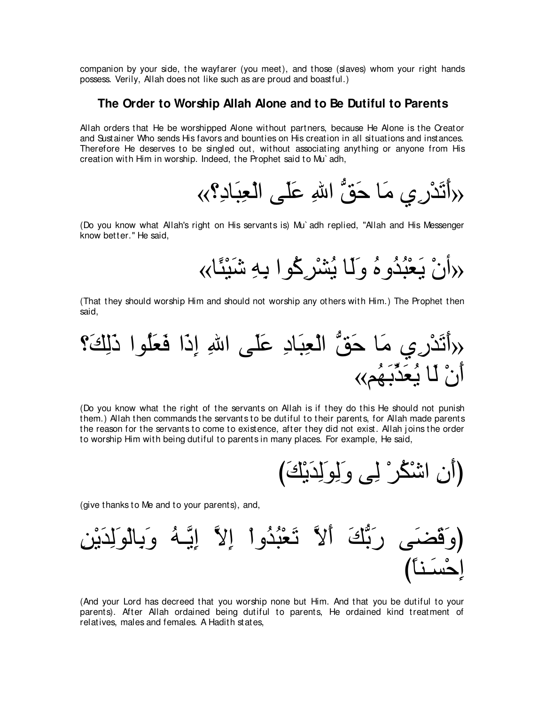companion by your side, the wayfarer (you meet), and those (slaves) whom your right hands possess. Verily, Allah does not like such as are proud and boastful.)

#### **The Order to Worship Allah Alone and to Be Dutiful to Parents**

Allah orders that He be worshipped Alone without partners, because He Alone is the Creator and Sustainer Who sends His favors and bounties on His creation in all situations and instances. Therefore He deserves to be singled out, without associating anything or anyone from His creation with Him in worship. Indeed, the Prophet said to Mu` adh,

«∨⌒キゅ∠ら⌒バ∇ャや ヴ∠ヤ∠ハ ⌒ぶや ぁペ∠ェ ゅ∠ョ ヵ⌒ケ∇ギ∠ゎ∠ぺ»

(Do you know what Allah's right on His servants is) Mu` adh replied, "Allah and His Messenger know better.'' He said,

«ゅ⇔ゃ∇Β∠セ ⌒ヮ⌒よ やヲ⊥ミ⌒ゲ∇ゼ⊥Α ゅ∠ャ∠ヱ ⊥ロヱ⊥ギ⊥ら∇バ∠Α ∇ラぺ»

(That they should worship Him and should not worship any others with Him.) The Prophet then said,

∨∠マ⌒ャ∠ク やヲ⊥ヤ∠バ∠プ や∠ク⌒ま ⌒ぶや ヴ∠ヤ∠ハ ⌒キゅ∠ら⌒バ∇ャや ぁペ∠ェ ゅ∠ョ ヵ⌒ケ∇ギ∠ゎ∠ぺ» «ユ⊥ヰ∠よあグ∠バ⊥Α ゅ∠ャ ∇ラ∠ぺ

(Do you know what the right of the servants on Allah is if they do this He should not punish them.) Allah then commands the servants to be dutiful to their parents, for Allah made parents the reason for the servants to come to existence, after they did not exist. Allah joins the order to worship Him with being dutiful to parents in many places. For example, He said,

び∠マ∇Α∠ギ⌒ャ∠ヲ⌒ャ∠ヱ ヴ⌒ャ ∇ゲ⊥ム∇セや ⌒ラ∠ぺぴ

(give thanks to Me and to your parents), and,

⌒リ∇Α∠ギ⌒ャ∠ヲ∇ャゅ⌒よ∠ヱ ⊥ヮ⇒zΑ⌒ま zΙ⌒ま ∇やヱ⊥ギ⊥ら∇バ∠ゎ zΙ∠ぺ ∠マぁよ∠ケ ヴ∠ツ∠ホ∠ヱぴ び⇔ゅレ⇒∠ジ∇ェ⌒ま

(And your Lord has decreed that you worship none but Him. And that you be dutiful to your parents). After Allah ordained being dutiful to parents, He ordained kind treatment of relatives, males and females. A Hadith states,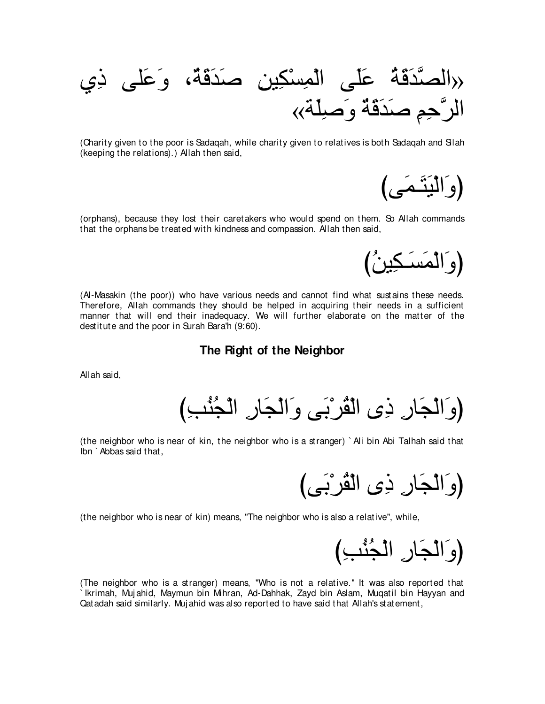ヵ⌒ク ヴヤ∠ハ∠ヱ ∩∀る∠ホ∠ギ∠タ ⌒リΒ⌒ム∇ジ⌒ヨ∇ャや ヴ∠ヤ∠ハ ⊥る∠ホ∠ギzダャや» «る∠ヤ⌒タ∠ヱ ∀る∠ホ∠ギ∠タ ⌒ユ⌒ェzゲャや

(Charity given to the poor is Sadaqah, while charity given to relatives is both Sadaqah and Silah (keeping the relations).) Allah then said,

(وَالْيَتَّمَى)

(orphans), because they lost their caretakers who would spend on them. So Allah commands that the orphans be treated with kindness and compassion. Allah then said,

(وَالْمَسَـكِينُ)

(Al-Masakin (the poor)) who have various needs and cannot find what sustains these needs. Therefore, Allah commands they should be helped in acquiring their needs in a sufficient manner that will end their inadequacy. We will further elaborate on the matter of the destitute and the poor in Surah Bara'h (9:60).

**The Right of the Neighbor**

Allah said,

(وَالْجَارِ ذِي الْقُرْبَى وَالْجَارِ الْجُنْبِ)

(the neighbor who is near of kin, the neighbor who is a stranger) ` Ali bin Abi Talhah said that Ibn ` Abbas said that,

(وَالْجَارِ ذِي الْقُرْبَى)

(the neighbor who is near of kin) means, "The neighbor who is also a relative'', while,

(وَالْجَارِ الْجُنْبِ)

(The neighbor who is a stranger) means, "Who is not a relative.'' It was also reported that ` Ikrimah, Muj ahid, Maymun bin Mihran, Ad-Dahhak, Zayd bin Aslam, Muqatil bin Hayyan and Qatadah said similarly. Muj ahid was also reported to have said that Allah's statement,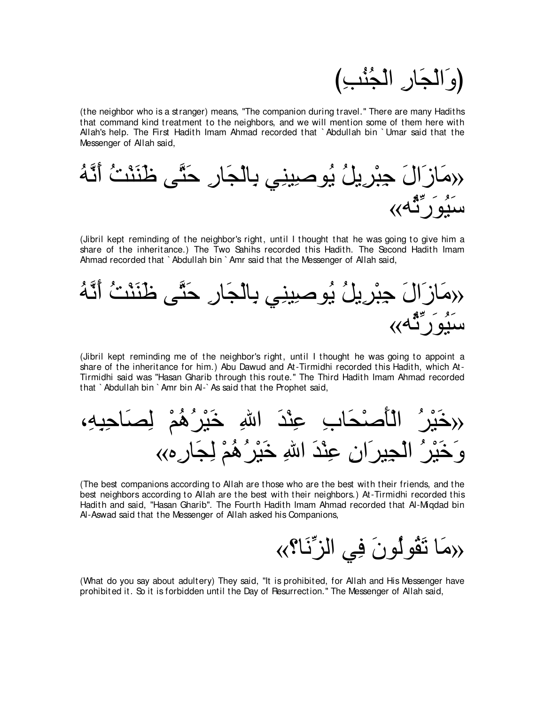

(the neighbor who is a stranger) means, "The companion during travel.'' There are many Hadiths that command kind treatment to the neighbors, and we will mention some of them here with Allah's help. The First Hadith Imam Ahmad recorded that ` Abdullah bin ` Umar said that the Messenger of Allah said,



(Jibril kept reminding of the neighbor's right, until I thought that he was going to give him a share of the inheritance.) The Two Sahihs recorded this Hadith. The Second Hadith Imam Ahmad recorded that ` Abdullah bin ` Amr said that the Messenger of Allah said,



(Jibril kept reminding me of the neighbor's right, until I thought he was going to appoint a share of the inheritance for him.) Abu Dawud and At-Tirmidhi recorded this Hadith, which At-Tirmidhi said was "Hasan Gharib through this route.'' The Third Hadith Imam Ahmad recorded that ` Abdullah bin ` Amr bin Al-` As said that the Prophet said,

∩⌒ヮ⌒ら⌒ェゅ∠ダ⌒ャ ∇ユ⊥ワ⊥ゲ∇Β∠カ ⌒ぶや ∠ギ∇レ⌒ハ ⌒ゆゅ∠エ∇タ∠ほ∇ャや ⊥ゲ∇Β∠カ» «ロ⌒ケゅ∠イ⌒ャ ∇ユ⊥ワ⊥ゲ∇Β∠カ ⌒ぶや ∠ギ∇レ⌒ハ ⌒ラや∠ゲΒ⌒イ∇ャや ⊥ゲ∇Β∠カ∠ヱ

(The best companions according to Allah are those who are the best with their friends, and the best neighbors according to Allah are the best with their neighbors.) At-Tirmidhi recorded this Hadith and said, "Hasan Gharib''. The Fourth Hadith Imam Ahmad recorded that Al-Miqdad bin Al-Aswad said that the Messenger of Allah asked his Companions,

«∨ゅ∠ルあゴャや ヶ⌒プ ∠ラヲ⊥ャヲ⊥ボ∠ゎ ゅ∠ョ»

(What do you say about adultery) They said, "It is prohibited, for Allah and His Messenger have prohibited it. So it is forbidden until the Day of Resurrection.'' The Messenger of Allah said,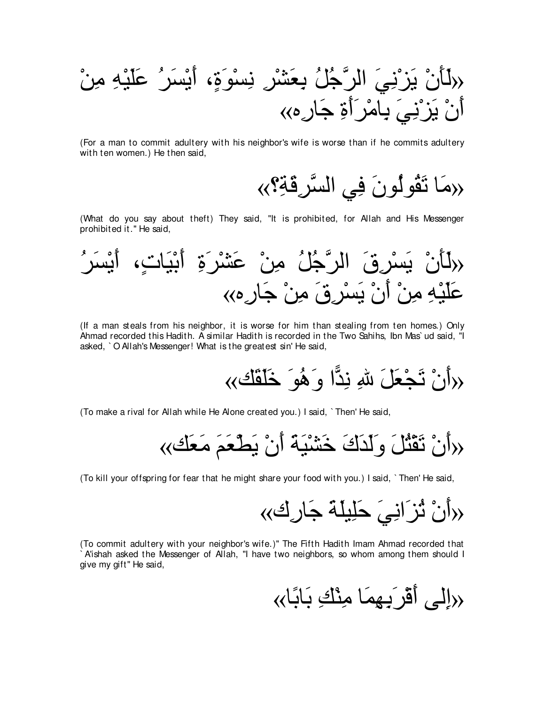∇リ⌒ョ ⌒ヮ∇Β∠ヤ∠ハ ⊥ゲ∠ジ∇Α∠ぺ ∩∃り∠ヲ∇ジ⌒ル ⌒ゲ∇ゼ∠バ⌒よ ⊥モ⊥ィzゲャや ∠ヶ⌒ル∇ゴ∠Α ∇ラ∠ほ∠ャ» «ロ⌒ケゅ∠ィ ⌒り∠ぺ∠ゲ∇ョゅ⌒よ ∠ヶ⌒ル∇ゴ∠Α ∇ラ∠ぺ

(For a man to commit adultery with his neighbor's wife is worse than if he commits adultery with ten women.) He then said,

«مَا تَقُولُونَ فِي السَّرِقَةِ؟»

(What do you say about theft) They said, "It is prohibited, for Allah and His Messenger prohibited it.'' He said,

⊥ゲ∠ジ∇Α∠ぺ ∩∃れゅ∠Β∇よ∠ぺ ⌒り∠ゲ∇ゼ∠ハ ∇リ⌒ョ ⊥モ⊥ィzゲャや ∠ベ⌒ゲ∇ジ∠Α ∇ラ∠ほ∠ャ» «ロ⌒ケゅ∠ィ ∇リ⌒ョ ∠ベ⌒ゲ∇ジ∠Α ∇ラ∠ぺ ∇リ⌒ョ ⌒ヮ∇Β∠ヤ∠ハ

(If a man steals from his neighbor, it is worse for him than stealing from ten homes.) Only Ahmad recorded this Hadith. A similar Hadith is recorded in the Two Sahihs, Ibn Mas` ud said, "I asked, ` O Allah's Messenger! What is the greatest sin' He said,

«マ∠ボ∠ヤ∠カ ∠ヲ⊥ワ∠ヱ や6ギ⌒ル ⌒ぶ ∠モ∠バ∇イ∠ゎ ∇ラ∠ぺ»

(To make a rival for Allah while He Alone created you.) I said, ` Then' He said,

«マ∠バ∠ョ ∠ユ∠バ∇ト∠Α ∇ラ∠ぺ ∠る∠Β∇ゼ∠カ ∠ポ∠ギ∠ャ∠ヱ ∠モ⊥わ∇ボ∠ゎ ∇ラ∠ぺ»

(To kill your offspring for fear that he might share your food with you.) I said, ` Then' He said,

«ポ⌒ケゅ∠ィ ∠る∠ヤΒ⌒ヤ∠ェ ∠ヶ⌒ルや∠ゴ⊥ゎ ∇ラ∠ぺ»

(To commit adultery with your neighbor's wife.)'' The Fifth Hadith Imam Ahmad recorded that ` A'ishah asked the Messenger of Allah, "I have two neighbors, so whom among them should I give my gift'' He said,

«راِلِّي أَقْر َبِيهِمَا مِنْكِ بَابًا»)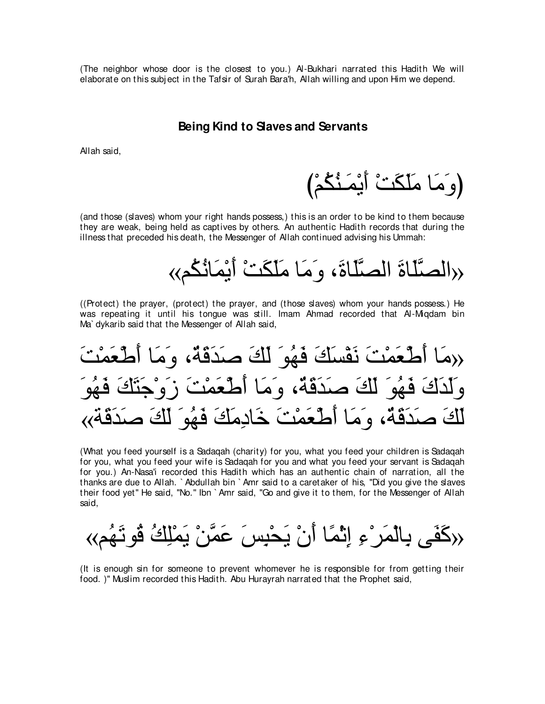(The neighbor whose door is the closest to you.) Al-Bukhari narrated this Hadith We will elaborate on this subj ect in the Tafsir of Surah Bara'h, Allah willing and upon Him we depend.

### **Being Kind to Slaves and Servants**

Allah said,

(وَ مَا مَلَكَتْ أَيْمَـنٌكُمْ)

(and those (slaves) whom your right hands possess,) this is an order to be kind to them because they are weak, being held as captives by others. An authentic Hadith records that during the illness that preceded his death, the Messenger of Allah continued advising his Ummah:

«الصَّلَاةَ الصَّلَاةَ، و<sup>َ</sup>مَا مَلَكَتْ أَيْمَانُكُم»

((Protect) the prayer, (protect) the prayer, and (those slaves) whom your hands possess.) He was repeating it until his tongue was still. Imam Ahmad recorded that Al-Miqdam bin Ma` dykarib said that the Messenger of Allah said,

√(هَا أَطْعَمْتَ نَقْسَكَ فَهُوَ لَكَ صَدَقَةٌ، وَمَا أَطْعَمْتَ وَلَدَكَ فَهُوَ لَكَ صَدَقَةٌ، وَمَا أَطْعَمْتَ زَوْ. لَكَ صدَفَةٌ، ومَا أَطْعَمْتَ خَادِمَكَ فَهُوَ لَكَ ص

(What you feed yourself is a Sadaqah (charity) for you, what you feed your children is Sadaqah for you, what you feed your wife is Sadaqah for you and what you feed your servant is Sadaqah for you.) An-Nasa'i recorded this Hadith which has an authentic chain of narration, all the thanks are due to Allah. ` Abdullah bin ` Amr said to a caretaker of his, "Did you give the slaves their food yet'' He said, "No.'' Ibn ` Amr said, "Go and give it to them, for the Messenger of Allah said,

«كَفَى بِالْمَرِ°ءِ إِنَّمَا أَنْ يَحْبِسَ عَمَّنْ يَمْلِكُ ڤُو تَهُم»

(It is enough sin for someone to prevent whomever he is responsible for from getting their food. )'' Muslim recorded this Hadith. Abu Hurayrah narrated that the Prophet said,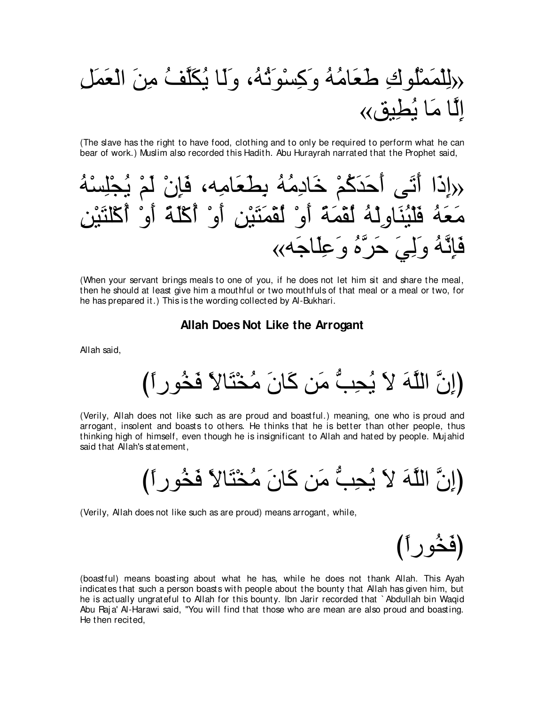# حديث على الك⊃مين من الكتاب كية علي) دون التوكي∨مين بن بن التوكين<br>مركز المصري التي يون التي يون التوكي الًا مَا بُطِبق»

(The slave has the right to have food, clothing and to only be required to perform what he can bear of work.) Muslim also recorded this Hadith. Abu Hurayrah narrated that the Prophet said,



(When your servant brings meals to one of you, if he does not let him sit and share the meal, then he should at least give him a mouthful or two mouthfuls of that meal or a meal or two, for he has prepared it.) This is the wording collected by Al-Bukhari.

**Allah Does Not Like the Arrogant**

Allah said,

(إِنَّ اللَّهَ لا يُحِبُّ مَنِ كَانَ مُخْتَالاً فَخُو رِ أَ)

(Verily, Allah does not like such as are proud and boastful.) meaning, one who is proud and arrogant, insolent and boasts to others. He thinks that he is better than other people, thus thinking high of himself, even though he is insignificant to Allah and hated by people. Muj ahid said that Allah's statement,

(إِنَّ اللَّهَ لاَ يُحِبُّ مَنِ كَانَ مُخْتَالاً فَخُو رِ أَ)

(Verily, Allah does not like such as are proud) means arrogant, while,

(فَخُوراً)

(boastful) means boasting about what he has, while he does not thank Allah. This Ayah indicates that such a person boasts with people about the bounty that Allah has given him, but he is actually ungrateful to Allah for this bounty. Ibn Jarir recorded that ` Abdullah bin Waqid Abu Raja' Al-Harawi said, "You will find that those who are mean are also proud and boasting. He then recited,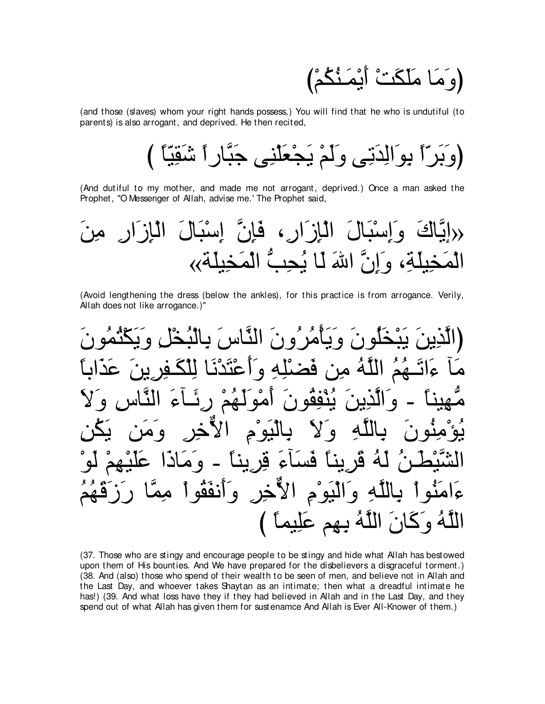(وَ مَا مَلَّكَتْ أَيْمَنْكُمْ)

(and those (slaves) whom your right hands possess,) You will find that he who is undutiful (to parents) is also arrogant, and deprived. He then recited,

(And dutiful to my mother, and made me not arrogant, deprived.) Once a man asked the Prophet, "O Messenger of Allah, advise me.' The Prophet said,

(Avoid lengthening the dress (below the ankles), for this practice is from arrogance. Verily, Allah does not like arrogance.)"

بِبَخْلُونَ وَيَأْمُرُ وِنَ النَّاسِ َ بِالنُّخَا **Vic** فض  $\boldsymbol{\mathsf{d}}$ <u>مہ</u>  $\overline{\bullet}$  $\overline{\phantom{a}}$ ئه د  $\bullet$  $\mathbf{A}$  $\mathbf{A}$ الأخر وأنفقو بو ج اللَّهُ وَكَانَ اللَّهُ بِهِم عَلِيماً )

(37. Those who are stingy and encourage people to be stingy and hide what Allah has bestowed upon them of His bounties. And We have prepared for the disbelievers a disgraceful torment.) (38. And (also) those who spend of their wealth to be seen of men, and believe not in Allah and the Last Day, and whoever takes Shaytan as an intimate; then what a dreadful intimate he has!) (39. And what loss have they if they had believed in Allah and in the Last Day, and they spend out of what Allah has given them for sustenamce And Allah is Ever All-Knower of them.)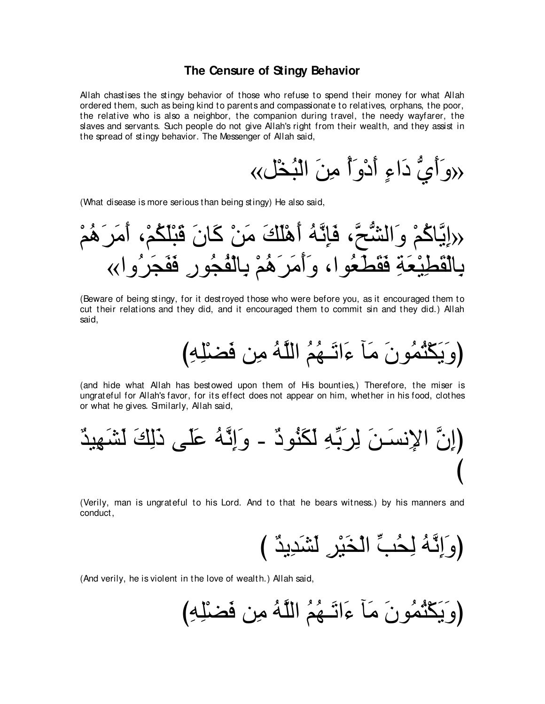#### **The Censure of Stingy Behavior**

Allah chastises the stingy behavior of those who refuse to spend their money for what Allah ordered them, such as being kind to parents and compassionate to relatives, orphans, the poor, the relative who is also a neighbor, the companion during travel, the needy wayfarer, the slaves and servants. Such people do not give Allah's right from their wealth, and they assist in the spread of stingy behavior. The Messenger of Allah said,

«モ∇ガ⊥ら∇ャや ∠リ⌒ョ ⊥ぺ∠ヱ∇キ∠ぺ ∃¬や∠キ ぁヵ∠ぺ∠ヱ»

(What disease is more serious than being stingy) He also said,

∇ユ⊥ワ∠ゲ∠ョ∠ぺ ∩∇ユ⊥ム∠ヤ∇ら∠ホ ∠ラゅ∠ミ ∇リ∠ョ ∠マ∠ヤ∇ワ∠ぺ ⊥ヮzル⌒み∠プ ∩zウぁゼャや∠ヱ ∇ユ⊥ミゅzΑ⌒ま» «やヱ⊥ゲ∠イ∠ヘ∠プ ⌒ケヲ⊥イ⊥ヘ∇ャゅ⌒よ ∇ユ⊥ワ∠ゲ∠ョ∠ぺ∠ヱ ∩やヲ⊥バ∠ト∠ボ∠プ ⌒る∠バ∇Β⌒ト∠ボ∇ャゅ⌒よ

(Beware of being stingy, for it destroyed those who were before you, as it encouraged them to cut their relations and they did, and it encouraged them to commit sin and they did.) Allah said,

(وَيَكْثُمُونَ مَأْ ءَاتَـهُمُ اللَّهُ مِن فَضْلِهِ)

(and hide what Allah has bestowed upon them of His bounties,) Therefore, the miser is ungrateful for Allah's favor, for its effect does not appear on him, whether in his food, clothes or what he gives. Similarly, Allah said,

∀ギΒ⌒ヰ∠ゼ∠ャ ∠マ⌒ャ∠ク ヴ∠ヤ∠ハ ⊥ヮzル⌒ま∠ヱ - ∀キヲ⊥レ∠ム∠ャ ⌒ヮあよ∠ゲ⌒ャ ∠リ⇒∠ジル⌒Ηや zラ⌒まぴ び

(Verily, man is ungrateful to his Lord. And to that he bears witness.) by his manners and conduct,

び ∀ギΑ⌒ギ∠ゼ∠ャ ⌒ゲ∇Β∠ガ∇ャや あょ⊥エ⌒ャ ⊥ヮzル⌒ま∠ヱぴ

(And verily, he is violent in the love of wealth.) Allah said,

び⌒ヮ⌒ヤ∇ツ∠プ リ⌒ョ ⊥ヮzヤャや ⊥ユ⊥ヰ⇒∠ゎや∠¬ べ∠ョ ∠ラヲ⊥ヨ⊥わ∇ム∠Α∠ヱぴ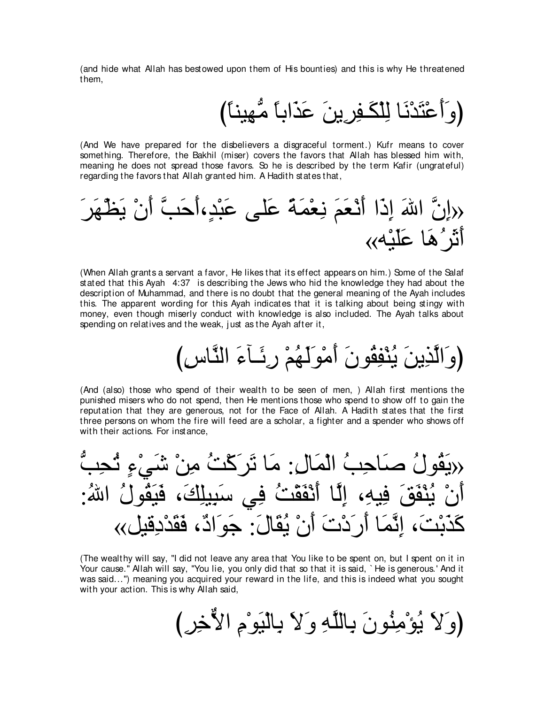(and hide what Allah has bestowed upon them of His bounties) and this is why He threatened them,

# (و َأَعْتَدْنَا لِلْكَـفِرِينَ عَذَاباً مُّهِيناً)

(And We have prepared for the disbelievers a disgraceful torment.) Kufr means to cover something. Therefore, the Bakhil (miser) covers the favors that Allah has blessed him with, meaning he does not spread those favors. So he is described by the term Kafir (ungrateful) regarding the favors that Allah granted him. A Hadith states that,



(When Allah grants a servant a favor, He likes that its effect appears on him.) Some of the Salaf stated that this Ayah 4:37 is describing the Jews who hid the knowledge they had about the description of Muhammad, and there is no doubt that the general meaning of the Ayah includes this. The apparent wording for this Ayah indicates that it is talking about being stingy with money, even though miserly conduct with knowledge is also included. The Ayah talks about spending on relatives and the weak, just as the Ayah after it.

# (وَ الَّذِينَ يُنْفِقُونَ أَمْوَلَهُمْ رِئَـآءَ النَّاسِ)

(And (also) those who spend of their wealth to be seen of men, ) Allah first mentions the punished misers who do not spend, then He mentions those who spend to show off to gain the reputation that they are generous, not for the Face of Allah. A Hadith states that the first three persons on whom the fire will feed are a scholar, a fighter and a spender who shows off with their actions. For instance,



(The wealthy will say, "I did not leave any area that You like to be spent on, but I spent on it in Your cause." Allah will say, "You lie, you only did that so that it is said, `He is generous.' And it was said...'') meaning you acquired your reward in the life, and this is indeed what you sought with your action. This is why Allah said,

び⌒ゲ⌒カxΙや ⌒ュ∇ヲ∠Β∇ャゅ⌒よ ∠Ι∠ヱ ⌒ヮzヤャゅ⌒よ ∠ラヲ⊥レ⌒ョ∇ぽ⊥Α ∠Ι∠ヱぴ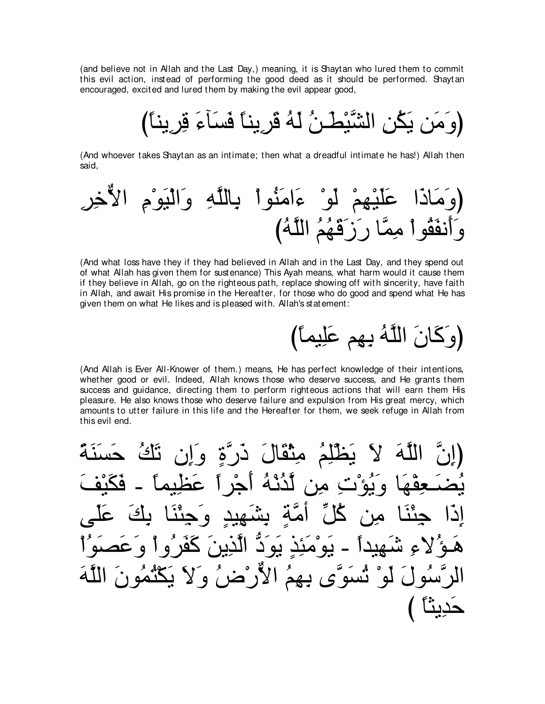(and believe not in Allah and the Last Day,) meaning, it is Shaytan who lured them to commit this evil action, instead of performing the good deed as it should be performed. Shaytan encouraged, excited and lured them by making the evil appear good,

(وَ مَن يَكُنِ الشَّيْطُـنُ لَهُ قَرِيناً فَسَأَءَ قِرِيناً)

(And whoever takes Shaytan as an intimate; then what a dreadful intimate he has!) Allah then said,

(And what loss have they if they had believed in Allah and in the Last Day, and they spend out of what Allah has given them for sustenance) This Ayah means, what harm would it cause them if they believe in Allah, go on the righteous path, replace showing off with sincerity, have faith in Allah, and await His promise in the Hereafter, for those who do good and spend what He has given them on what He likes and is pleased with. Allah's statement:

(وَكَانَ اللَّهُ بِهِم عَلِيماً)

(And Allah is Ever All-Knower of them.) means, He has perfect knowledge of their intentions, whether good or evil. Indeed, Allah knows those who deserve success, and He grants them success and guidance, directing them to perform righteous actions that will earn them His pleasure. He also knows those who deserve failure and expulsion from His great mercy, which amounts to utter failure in this life and the Hereafter for them, we seek refuge in Allah from this evil end.

در ة و مثقال أذنه  $\boldsymbol{d}$ لدى ئِدَ ہو دَ نه م ُ لَوْ تَسْوَّى بِهِمَ الْأَرْضُ وَلَا يَكْتُمُور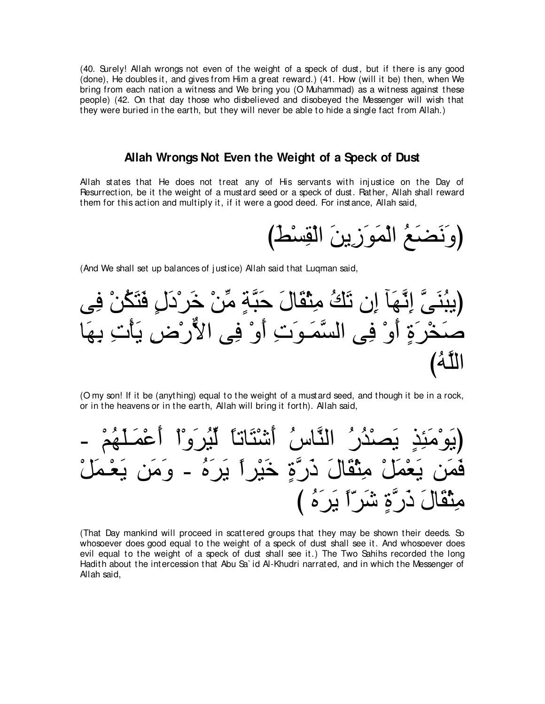(40. Surely! Allah wrongs not even of the weight of a speck of dust, but if there is any good (done), He doubles it, and gives from Him a great reward.) (41. How (will it be) then, when We bring from each nation a witness and We bring you (O Muhammad) as a witness against these people) (42. On that day those who disbelieved and disobeyed the Messenger will wish that they were buried in the earth, but they will never be able to hide a single fact from Allah.)

#### **Allah Wrongs Not Even the Weight of a Speck of Dust**

Allah states that He does not treat any of His servants with injustice on the Day of Resurrection, be it the weight of a mustard seed or a speck of dust. Rather, Allah shall reward them for this action and multiply it, if it were a good deed. For instance, Allah said,

(وَنَضَعُ الْمَوَزِينَ الْقِسْطُ)

(And We shall set up balances of justice) Allah said that Luqman said,

ヴ⌒プ ∇リ⊥ム∠わ∠プ ∃メ∠キ∇ゲ∠カ ∇リあョ ∃るzら∠ェ ∠メゅ∠ボ∇ん⌒ョ ⊥マ∠ゎ ラ⌒ま べ∠ヰzル⌒ま zヴ∠レ⊥らΑぴ ゅ∠ヰ⌒よ ⌒れ∇ほ∠Α ⌒チ∇ケxΙや ヴ⌒プ ∇ヱ∠ぺ ⌒れ∠ヲ⇒∠ヨzジャや ヴ⌒プ ∇ヱ∠ぺ ∃り∠ゲ∇ガ∠タ び⊥ヮzヤャや

(O my son! If it be (anything) equal to the weight of a mustard seed, and though it be in a rock, or in the heavens or in the earth, Allah will bring it forth). Allah said,

 - ∇ユ⊥ヰ∠ヤ⇒∠ヨ∇ハ∠ぺ ∇や∇ヱ∠ゲ⊥Βあャ ⇔ゅゎゅ∠わ∇セ∠ぺ ⊥サゅzレャや ⊥ケ⊥ギ∇ダ∠Α ∃グ⌒ゃ∠ョ∇ヲ∠Αぴ ∇モ∠ヨ⇒∇バ∠Α リ∠ョ∠ヱ - ⊥ロ∠ゲ∠Α ⇔やゲ∇Β∠カ ∃りzケ∠ク ∠メゅ∠ボ∇ん⌒ョ ∇モ∠ヨ∇バ∠Α リ∠ヨ∠プ び ⊥ロ∠ゲ∠Α ⇔や∂ゲ∠セ ∃りzケ∠ク ∠メゅ∠ボ∇ん⌒ョ

(That Day mankind will proceed in scattered groups that they may be shown their deeds. So whosoever does good equal to the weight of a speck of dust shall see it. And whosoever does evil equal to the weight of a speck of dust shall see it.) The Two Sahihs recorded the long Hadith about the intercession that Abu Sa` id Al-Khudri narrated, and in which the Messenger of Allah said,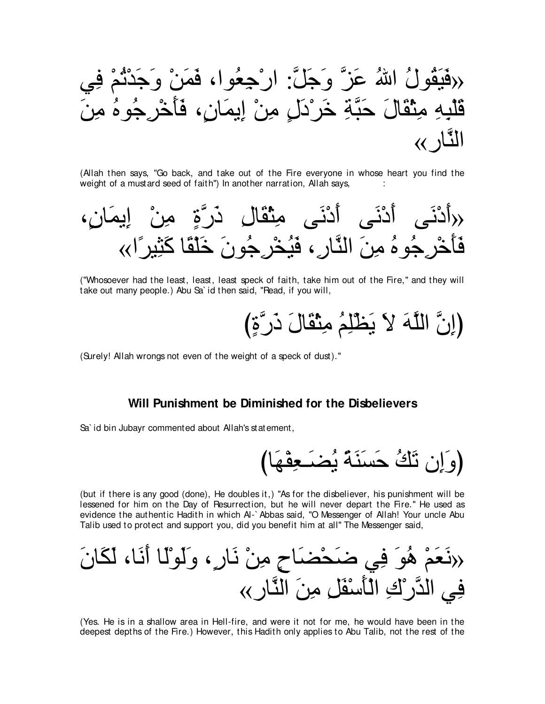

(Allah then says, "Go back, and take out of the Fire everyone in whose heart you find the weight of a mustard seed of faith") In another narration, Allah says,



("Whosoever had the least, least, least speck of faith, take him out of the Fire,'' and they will take out many people.) Abu Sa` id then said, "Read, if you will,

び∃りzケ∠ク ∠メゅ∠ボ∇ん⌒ョ ⊥ユ⌒ヤ∇ヌ∠Α ∠Ι ∠ヮzヤャや zラ⌒まぴ

(Surely! Allah wrongs not even of the weight of a speck of dust).''

#### **Will Punishment be Diminished for the Disbelievers**

Sa` id bin Jubayr commented about Allah's statement,

びゅ∠ヰ∇ヘ⌒バ⇒∠ツ⊥Α ⇔る∠レ∠ジ∠ェ ⊥マ∠ゎ ラ⌒ま∠ヱぴ

(but if there is any good (done), He doubles it,) "As for the disbeliever, his punishment will be lessened for him on the Day of Resurrection, but he will never depart the Fire.'' He used as evidence the authentic Hadith in which Al-` Abbas said, "O Messenger of Allah! Your uncle Abu Talib used to protect and support you, did you benefit him at all'' The Messenger said,

∠ラゅ∠ム∠ャ ∩ゅ∠ル∠ぺ ゅ∠ャ∇ヲ∠ャ∠ヱ ∩∃ケゅ∠ル ∇リ⌒ョ ∃ゥゅ∠ツ∇エ∠ッ ヶ⌒プ ∠ヲ⊥ワ ∇ユ∠バ∠ル» «ケゅzレャや ∠リ⌒ョ ⌒モ∠ヘ∇シ∠ほ∇ャや ⌒ポ∇ケzギャや ヶ⌒プ

(Yes. He is in a shallow area in Hell-fire, and were it not for me, he would have been in the deepest depths of the Fire.) However, this Hadith only applies to Abu Talib, not the rest of the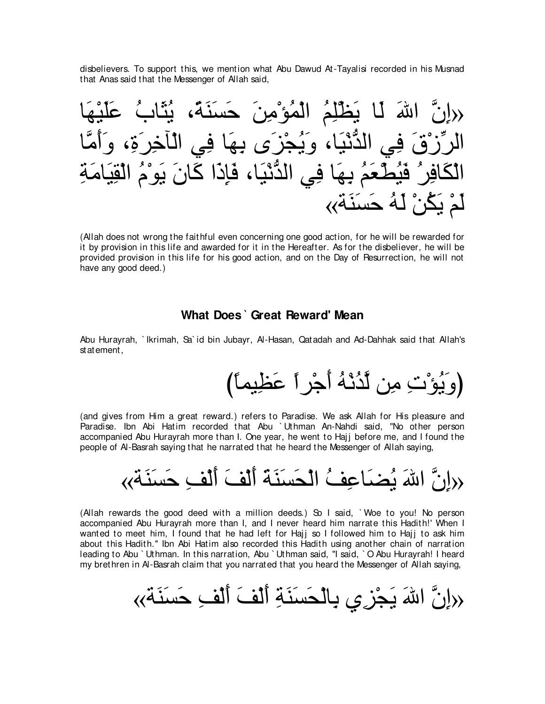disbelievers. To support this, we mention what Abu Dawud At-Tayalisi recorded in his Musnad that Anas said that the Messenger of Allah said,



(Allah does not wrong the faithful even concerning one good action, for he will be rewarded for it by provision in this life and awarded for it in the Hereafter. As for the disbeliever, he will be provided provision in this life for his good action, and on the Day of Resurrection, he will not have any good deed.)

### **What Does ` Great Reward' Mean**

Abu Hurayrah, ` Ikrimah, Sa` id bin Jubayr, Al-Hasan, Qatadah and Ad-Dahhak said that Allah's statement,

(وَ يُوْ`تِ مِن لَّدُنْهُ أَجْرٍ أَ عَظِيماً)

(and gives from Him a great reward.) refers to Paradise. We ask Allah for His pleasure and Paradise. Ibn Abi Hatim recorded that Abu ` Uthman An-Nahdi said, "No other person accompanied Abu Hurayrah more than I. One year, he went to Hajj before me, and I found the people of Al-Basrah saying that he narrated that he heard the Messenger of Allah saying,

ِاللهَ بُصْبَاعِفُ الْحَسِنَةِ الِّفَ اَلْف حَسَنَة»

(Allah rewards the good deed with a million deeds.) So I said, ` Woe to you! No person accompanied Abu Hurayrah more than I, and I never heard him narrate this Hadith!' When I wanted to meet him, I found that he had left for Hajj so I followed him to Hajj to ask him about this Hadith.'' Ibn Abi Hatim also recorded this Hadith using another chain of narration leading to Abu ` Uthman. In this narration, Abu ` Uthman said, "I said, ` O Abu Hurayrah! I heard my brethren in Al-Basrah claim that you narrated that you heard the Messenger of Allah saying,

«る∠レ∠ジ∠ェ ⌒ブ∇ャ∠ぺ ∠ブ∇ャ∠ぺ ⌒る∠レ∠ジ∠エ∇ャゅ⌒よ ヵ⌒ゴ∇イ∠Α ∠ぶや zラ⌒ま»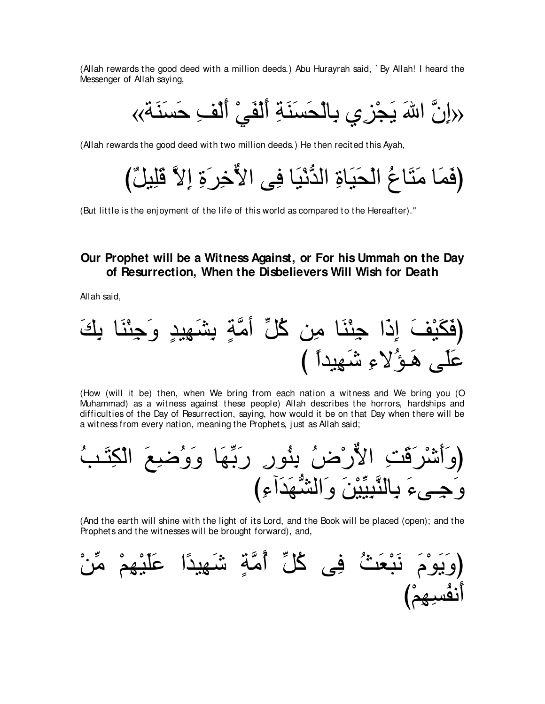(Allah rewards the good deed with a million deeds.) Abu Hurayrah said, `By Allah! I heard the Messenger of Allah saying.

(Allah rewards the good deed with two million deeds.) He then recited this Ayah,

(But little is the enjoyment of the life of this world as compared to the Hereafter)."

# Our Prophet will be a Witness Against, or For his Ummah on the Day of Resurrection, When the Disbelievers Will Wish for Death

Allah said,

(How (will it be) then, when We bring from each nation a witness and We bring you (O Muhammad) as a witness against these people) Allah describes the horrors, hardships and difficulties of the Day of Resurrection, saying, how would it be on that Day when there will be a witness from every nation, meaning the Prophets, just as Allah said;

(And the earth will shine with the light of its Lord, and the Book will be placed (open); and the Prophets and the witnesses will be brought forward), and,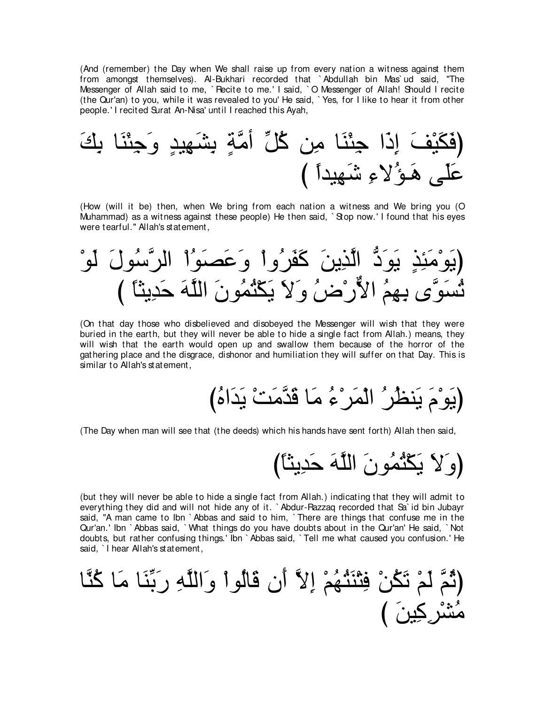(And (remember) the Day when We shall raise up from every nation a witness against them from amongst themselves). Al-Bukhari recorded that ` Abdullah bin Mas` ud said, "The Messenger of Allah said to me, ` Recite to me.' I said, ` O Messenger of Allah! Should I recite (the Qur'an) to you, while it was revealed to you' He said, ` Yes, for I like to hear it from other people.' I recited Surat An-Nisa' until I reached this Ayah,

∠マ⌒よ ゅ∠レ∇ゃ⌒ィ∠ヱ ∃ギΒ⌒ヰ∠ゼ⌒よ ∃るzョぺ あモ⊥ミ リ⌒ョ ゅ∠レ∇ゃ⌒ィ や∠ク⌒ま ∠ブ∇Β∠ム∠プぴ び ⇔やギΒ⌒ヰ∠セ ⌒¬Ι⊥ぽ⇒∠ワ ヴ∠ヤ∠ハ

(How (will it be) then, when We bring from each nation a witness and We bring you (O Muhammad) as a witness against these people) He then said, `Stop now.' I found that his eyes were tearful.'' Allah's statement,

∇ヲ∠ャ ∠メヲ⊥シzゲャや ∇や⊥ヲ∠ダ∠ハ∠ヱ ∇やヱ⊥ゲ∠ヘ∠ミ ∠リΑ⌒グzャや ぁキ∠ヲ∠Α ∃グ⌒ゃ∠ョ∇ヲ∠Αぴ び ⇔ゅんΑ⌒ギ∠ェ ∠ヮzヤャや ∠ラヲ⊥ヨ⊥わ∇ム∠Α ∠Ι∠ヱ ⊥チ∇ケxΙや ⊥ユ⌒ヰ⌒よ ンzヲ∠ジ⊥ゎ

(On that day those who disbelieved and disobeyed the Messenger will wish that they were buried in the earth, but they will never be able to hide a single fact from Allah.) means, they will wish that the earth would open up and swallow them because of the horror of the gathering place and the disgrace, dishonor and humiliation they will suffer on that Day. This is similar to Allah's statement,

び⊥ロや∠ギ∠Α ∇ろ∠ョzギ∠ホ ゅ∠ョ ⊥¬∇ゲ∠ヨ∇ャや ⊥ゲ⊥ヌレ∠Α ∠ュ∇ヲ∠Αぴ

(The Day when man will see that (the deeds) which his hands have sent forth) Allah then said,

び⇔ゅんΑ⌒ギ∠ェ ∠ヮzヤャや ∠ラヲ⊥ヨ⊥わ∇ム∠Α ∠Ι∠ヱぴ

(but they will never be able to hide a single fact from Allah.) indicating that they will admit to everything they did and will not hide any of it. ` Abdur-Razzaq recorded that Sa` id bin Jubayr said, "A man came to Ibn ` Abbas and said to him, ` There are things that confuse me in the Qur'an.' Ibn ` Abbas said, ` What things do you have doubts about in the Qur'an' He said, ` Not doubts, but rather confusing things.' Ibn ` Abbas said, ` Tell me what caused you confusion.' He said, I hear Allah's statement,

ゅzレ⊥ミ ゅ∠ョ ゅ∠レあよ∠ケ ⌒ヮzヤャや∠ヱ ∇やヲ⊥ャゅ∠ホ ラ∠ぺ zΙ⌒ま ∇ユ⊥ヰ⊥わ∠レ∇わ⌒プ ∇リ⊥ム∠ゎ ∇ユ∠ャ zユ⊥をぴ び ∠リΒ⌒ミ⌒ゲ∇ゼ⊥ョ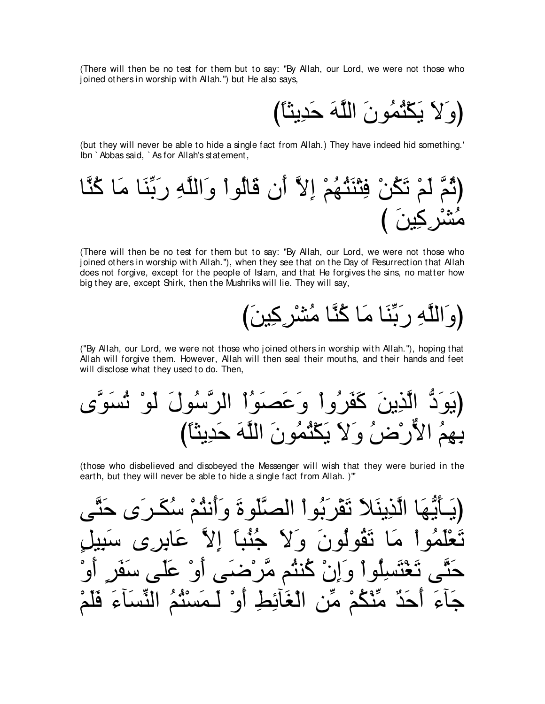(There will then be no test for them but to say: "By Allah, our Lord, we were not those who joined others in worship with Allah.") but He also says.

(وَلاَ يَكْثُمُونَ اللَّهَ حَدِينًا)

(but they will never be able to hide a single fact from Allah.) They have indeed hid something.' Ibn `Abbas said, `As for Allah's statement,

(There will then be no test for them but to say: "By Allah, our Lord, we were not those who joined others in worship with Allah."), when they see that on the Day of Resurrection that Allah does not forgive, except for the people of Islam, and that He forgives the sins, no matter how big they are, except Shirk, then the Mushriks will lie. They will say,

("By Allah, our Lord, we were not those who joined others in worship with Allah."), hoping that Allah will forgive them. However, Allah will then seal their mouths, and their hands and feet will disclose what they used to do. Then,

(those who disbelieved and disobeved the Messenger will wish that they were buried in the earth, but they will never be able to hide a single fact from Allah.)"